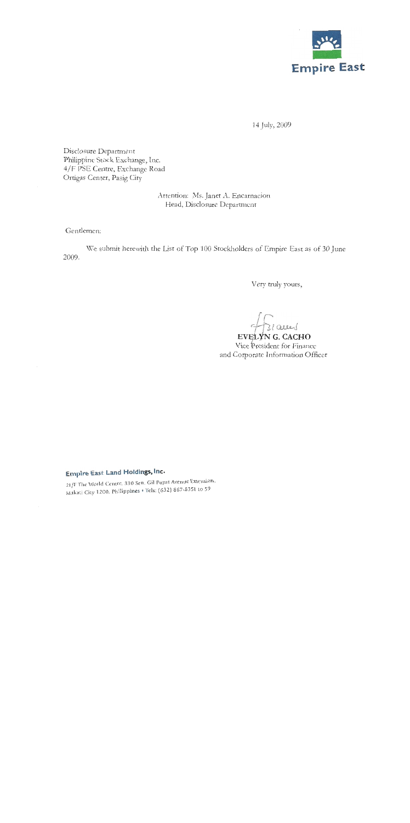

14 July, 2009

Disclosure Department Philippine Stock Exchange, Inc. 4/F PSE Centre, Exchange Road Ortigas Center, Pasig City

> Attention: Ms. Janet A. Encarnacion Head, Disclosure Department

Gentlemen:

We submit herewith the List of Top 100 Stockholders of Empire East as of 30 June 2009.

Very truly yours,

31 acces

EVELYNG. CACHO Vice President for Finance and Corporate Information Officer

# Empire East Land Holdings, Inc.

21/F The World Centre, 330 Sen. Gil Puyat Avenue Extension, Makati City 1200, Philippines . Iels: (632) 867-8351 to 59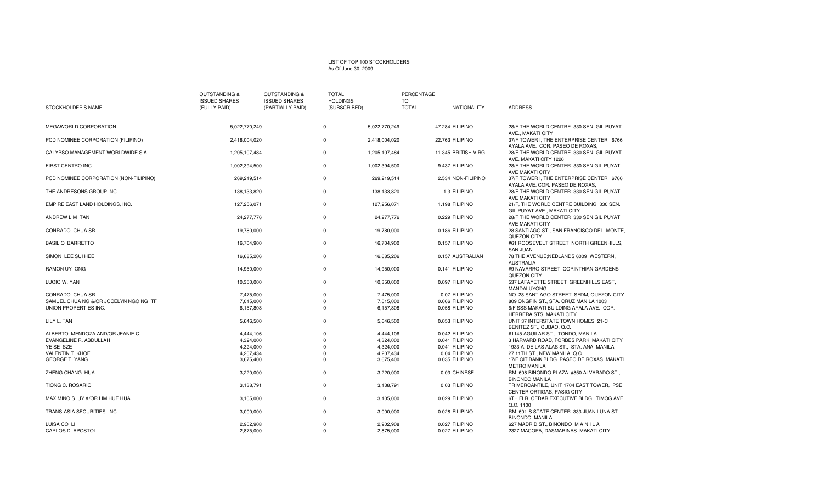#### LIST OF TOP 100 STOCKHOLDERS As Of June 30, 2009

|                                        | <b>OUTSTANDING &amp;</b> | <b>OUTSTANDING &amp;</b> | <b>TOTAL</b>    |               | PERCENTAGE   |                     |                                                                              |
|----------------------------------------|--------------------------|--------------------------|-----------------|---------------|--------------|---------------------|------------------------------------------------------------------------------|
|                                        | <b>ISSUED SHARES</b>     | <b>ISSUED SHARES</b>     | <b>HOLDINGS</b> |               | TO           |                     |                                                                              |
| STOCKHOLDER'S NAME                     | (FULLY PAID)             | (PARTIALLY PAID)         | (SUBSCRIBED)    |               | <b>TOTAL</b> | NATIONALITY         | <b>ADDRESS</b>                                                               |
| MEGAWORLD CORPORATION                  | 5,022,770,249            |                          | $\mathbf 0$     | 5,022,770,249 |              | 47.284 FILIPINO     | 28/F THE WORLD CENTRE 330 SEN. GIL PUYAT<br>AVE., MAKATI CITY                |
| PCD NOMINEE CORPORATION (FILIPINO)     | 2,418,004,020            |                          | $\mathbf 0$     | 2,418,004,020 |              | 22.763 FILIPINO     | 37/F TOWER I, THE ENTERPRISE CENTER, 6766<br>AYALA AVE. COR. PASEO DE ROXAS, |
| CALYPSO MANAGEMENT WORLDWIDE S.A.      | 1,205,107,484            |                          | $\mathbf 0$     | 1,205,107,484 |              | 11.345 BRITISH VIRG | 28/F THE WORLD CENTRE 330 SEN, GIL PUYAT<br>AVE. MAKATI CITY 1226            |
| FIRST CENTRO INC.                      | 1,002,394,500            |                          | $\mathbf 0$     | 1,002,394,500 |              | 9.437 FILIPINO      | 28/F THE WORLD CENTER 330 SEN GIL PUYAT<br>AVE MAKATI CITY                   |
| PCD NOMINEE CORPORATION (NON-FILIPINO) | 269,219,514              |                          | $\mathbf 0$     | 269,219,514   |              | 2.534 NON-FILIPINO  | 37/F TOWER I, THE ENTERPRISE CENTER, 6766<br>AYALA AVE. COR. PASEO DE ROXAS  |
| THE ANDRESONS GROUP INC.               | 138,133,820              |                          | $\mathbf 0$     | 138,133,820   |              | 1.3 FILIPINO        | 28/F THE WORLD CENTER 330 SEN GIL PUYAT<br>AVE MAKATI CITY                   |
| EMPIRE EAST LAND HOLDINGS, INC.        | 127,256,071              |                          | $\mathbf 0$     | 127,256,071   |              | 1.198 FILIPINO      | 21/F, THE WORLD CENTRE BUILDING 330 SEN.<br>GIL PUYAT AVE., MAKATI CITY      |
| ANDREW LIM TAN                         | 24,277,776               |                          | $\mathbf 0$     | 24,277,776    |              | 0.229 FILIPINO      | 28/F THE WORLD CENTER 330 SEN GIL PUYAT<br>AVE MAKATI CITY                   |
| CONRADO CHUA SR.                       | 19,780,000               |                          | $\mathbf 0$     | 19,780,000    |              | 0.186 FILIPINO      | 28 SANTIAGO ST., SAN FRANCISCO DEL MONTE,<br>QUEZON CITY                     |
| <b>BASILIO BARRETTO</b>                | 16,704,900               |                          | $\mathbf 0$     | 16,704,900    |              | 0.157 FILIPINO      | #61 ROOSEVELT STREET NORTH GREENHILLS,<br><b>SAN JUAN</b>                    |
| SIMON LEE SUI HEE                      | 16,685,206               |                          | $\mathsf 0$     | 16,685,206    |              | 0.157 AUSTRALIAN    | 78 THE AVENUE; NEDLANDS 6009 WESTERN,<br><b>AUSTRALIA</b>                    |
| <b>RAMON UY ONG</b>                    | 14,950,000               |                          | $\mathbf 0$     | 14,950,000    |              | 0.141 FILIPINO      | #9 NAVARRO STREET CORINTHIAN GARDENS<br>QUEZON CITY                          |
| LUCIO W. YAN                           | 10,350,000               |                          | $\mathbf 0$     | 10,350,000    |              | 0.097 FILIPINO      | 537 LAFAYETTE STREET GREENHILLS EAST,<br>MANDALUYONG                         |
| CONRADO CHUA SR.                       | 7,475,000                |                          | $\mathbf 0$     | 7,475,000     |              | 0.07 FILIPINO       | NO. 28 SANTIAGO STREET SFDM, QUEZON CITY                                     |
| SAMUEL CHUA NG &/OR JOCELYN NGO NG ITF | 7,015,000                |                          | $\mathbf 0$     | 7,015,000     |              | 0.066 FILIPINO      | 809 ONGPIN ST., STA. CRUZ MANILA 1003                                        |
| UNION PROPERTIES INC.                  | 6,157,808                |                          | $\mathbf 0$     | 6,157,808     |              | 0.058 FILIPINO      | 6/F SSS MAKATI BUILDING AYALA AVE. COR.<br>HERRERA STS, MAKATI CITY          |
| LILY L. TAN                            | 5,646,500                |                          | $\mathbf 0$     | 5,646,500     |              | 0.053 FILIPINO      | UNIT 37 INTERSTATE TOWN HOMES 21-C<br>BENITEZ ST., CUBAO, Q.C.               |
| ALBERTO MENDOZA AND/OR JEANIE C.       | 4,444,106                |                          | $\mathbf 0$     | 4,444,106     |              | 0.042 FILIPINO      | #1145 AGUILAR ST., TONDO, MANILA                                             |
| EVANGELINE R. ABDULLAH                 | 4,324,000                |                          | $\Omega$        | 4,324,000     |              | 0.041 FILIPINO      | 3 HARVARD ROAD, FORBES PARK MAKATI CITY                                      |
| YE SE SZE                              | 4,324,000                |                          | $\Omega$        | 4,324,000     |              | 0.041 FILIPINO      | 1933 A. DE LAS ALAS ST., STA. ANA, MANILA                                    |
| <b>VALENTIN T. KHOE</b>                | 4,207,434                |                          | $\mathbf 0$     | 4,207,434     |              | 0.04 FILIPINO       | 27 11TH ST., NEW MANILA, Q.C.                                                |
| <b>GEORGE T. YANG</b>                  | 3,675,400                |                          | $\mathbf 0$     | 3,675,400     |              | 0.035 FILIPINO      | 17/F CITIBANK BLDG, PASEO DE ROXAS MAKATI<br><b>METRO MANILA</b>             |
| ZHENG CHANG HUA                        | 3,220,000                |                          | $\mathbf 0$     | 3,220,000     |              | 0.03 CHINESE        | RM. 608 BINONDO PLAZA #850 ALVARADO ST.,<br><b>BINONDO MANILA</b>            |
| TIONG C. ROSARIO                       | 3,138,791                |                          | $\mathbf 0$     | 3,138,791     |              | 0.03 FILIPINO       | TR MERCANTILE, UNIT 1704 EAST TOWER, PSE<br>CENTER ORTIGAS, PASIG CITY       |
| MAXIMINO S. UY &/OR LIM HUE HUA        | 3,105,000                |                          | $\mathbf 0$     | 3,105,000     |              | 0.029 FILIPINO      | 6TH FLR. CEDAR EXECUTIVE BLDG. TIMOG AVE.<br>Q.C. 1100                       |
| TRANS-ASIA SECURITIES, INC.            | 3,000,000                |                          | $\mathbf 0$     | 3,000,000     |              | 0.028 FILIPINO      | RM. 601-S STATE CENTER 333 JUAN LUNA ST.<br><b>BINONDO, MANILA</b>           |
| LUISA CO LI                            | 2,902,908                |                          | $\Omega$        | 2,902,908     |              | 0.027 FILIPINO      | 627 MADRID ST., BINONDO MANILA                                               |
| CARLOS D. APOSTOL                      | 2,875,000                |                          | $\Omega$        | 2,875,000     |              | 0.027 FILIPINO      | 2327 MACOPA, DASMARINAS MAKATI CITY                                          |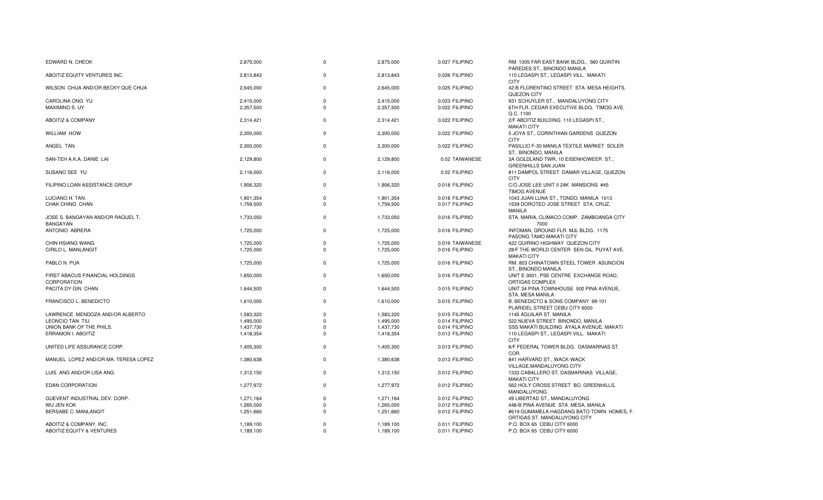| EDWARD N. CHEOK                                      | 2,875,000 | $\Omega$    | 2,875,000 | 0.027 FILIPINO  | RM. 1005 FAR EAST BANK BLDG., 560 QUINTIN                                           |
|------------------------------------------------------|-----------|-------------|-----------|-----------------|-------------------------------------------------------------------------------------|
| ABOITIZ EQUITY VENTURES INC.                         | 2,813,843 | $\Omega$    | 2,813,843 | 0.026 FILIPINO  | PAREDES ST., BINONDO MANILA<br>110 LEGASPI ST., LEGASPI VILL. MAKATI<br><b>CITY</b> |
| WILSON CHUA AND/OR BECKY QUE CHUA                    | 2,645,000 | $\Omega$    | 2,645,000 | 0.025 FILIPINO  | 42-B FLORENTINO STREET STA. MESA HEIGHTS,<br>QUEZON CITY                            |
| CAROLINA ONG YU                                      | 2,415,000 | $\Omega$    | 2,415,000 | 0.023 FILIPINO  | 931 SCHUYLER ST., MANDALUYONG CITY                                                  |
| <b>MAXIMINO S. UY</b>                                | 2,357,500 | $\Omega$    | 2,357,500 | 0.022 FILIPINO  | 6TH FLR. CEDAR EXECUTIVE BLDG. TIMOG AVE.<br>Q.C. 1100                              |
| ABOITIZ & COMPANY                                    | 2,314,421 | $\Omega$    | 2,314,421 | 0.022 FILIPINO  | 2/F ABOITIZ BUILDING 110 LEGASPI ST.,<br><b>MAKATI CITY</b>                         |
| <b>WILLIAM HOW</b>                                   | 2,300,000 | $\Omega$    | 2,300,000 | 0.022 FILIPINO  | 5 JOYA ST., CORINTHIAN GARDENS QUEZON<br><b>CITY</b>                                |
| ANGEL TAN                                            | 2,300,000 | $\Omega$    | 2,300,000 | 0.022 FILIPINO  | PASILLIO F-30 MANILA TEXTILE MARKET SOLER<br>ST., BINONDO, MANILA                   |
| SAN-TEH A.K.A. DANIE LAI                             | 2,129,800 | $\Omega$    | 2,129,800 | 0.02 TAIWANESE  | 3A GOLDLAND TWR, 10 EISENHOWEER ST.,<br>GREENHILLS SAN JUAN                         |
| SUSANO SEE YU                                        | 2.116.000 | $\Omega$    | 2,116,000 | 0.02 FILIPINO   | #11 DAMPOL STREET DAMAR VILLAGE, QUEZON<br><b>CITY</b>                              |
| FILIPINO LOAN ASSISTANCE GROUP                       | 1,906,320 | $\Omega$    | 1,906,320 | 0.018 FILIPINO  | C/O JOSE LEE UNIT II 24K MANSIONS #45<br><b>TIMOG AVENUE</b>                        |
| LUCIANO H. TAN                                       | 1,901,354 | $\mathbf 0$ | 1,901,354 | 0.018 FILIPINO  | 1043 JUAN LUNA ST., TONDO, MANILA 1013                                              |
| CHAK CHING CHAN                                      | 1,759,500 | $\Omega$    | 1,759,500 | 0.017 FILIPINO  | 1539 DOROTEO JOSE STREET STA, CRUZ.<br><b>MANILA</b>                                |
| JOSE S. BANGAYAN AND/OR RAQUEL T.<br><b>BANGAYAN</b> | 1,733,050 | $\Omega$    | 1,733,050 | 0.016 FILIPINO  | STA. MARIA, CLIMACO COMP. ZAMBOANGA CITY<br>7000                                    |
| ANTONIO ABRERA                                       | 1,725,000 | $\Omega$    | 1,725,000 | 0.016 FILIPINO  | INFOMAN, GROUND FLR. MJL BLDG. 1175<br>PASONG TAMO MAKATI CITY                      |
| <b>CHIN HSIANG WANG</b>                              | 1,725,000 | $\Omega$    | 1,725,000 | 0.016 TAIWANESE | 422 QUIRINO HIGHWAY QUEZON CITY                                                     |
| CIRILO L. MANLANGIT                                  | 1,725,000 | $\Omega$    | 1,725,000 | 0.016 FILIPINO  | 28/F THE WORLD CENTER SEN GIL. PUYAT AVE.<br><b>MAKATI CITY</b>                     |
| PABLO N. PUA                                         | 1,725,000 | $\Omega$    | 1,725,000 | 0.016 FILIPINO  | RM. 803 CHINATOWN STEEL TOWER ASUNCION<br>ST., BINONDO MANILA                       |
| FIRST ABACUS FINANCIAL HOLDINGS<br>CORPORATION       | 1,650,000 | $\Omega$    | 1,650,000 | 0.016 FILIPINO  | UNIT E-3001, PSE CENTRE EXCHANGE ROAD,<br>ORTIGAS COMPLEX                           |
| PACITA DY GIN CHAN                                   | 1,644,500 | $\Omega$    | 1,644,500 | 0.015 FILIPINO  | UNIT 34 PINA TOWNHOUSE 500 PINA AVENUE,<br>STA. MESA MANILA                         |
| <b>FRANCISCO L. BENEDICTO</b>                        | 1,610,000 | $\Omega$    | 1,610,000 | 0.015 FILIPINO  | B. BENEDICTO & SONS COMPANY 99-101<br>PLARIDEL STREET CEBU CITY 6000                |
| LAWRENCE MENDOZA AND/OR ALBERTO                      | 1,583,320 | $\Omega$    | 1,583,320 | 0.015 FILIPINO  | 1145 AGUILAR ST. MANILA                                                             |
| LEONCIO TAN TIU                                      | 1,495,000 | $\Omega$    | 1,495,000 | 0.014 FILIPINO  | 522 NUEVA STREET BINONDO, MANILA                                                    |
| UNION BANK OF THE PHILS.                             | 1,437,730 | $\Omega$    | 1,437,730 | 0.014 FILIPINO  | SSS MAKATI BUILDING AYALA AVENUE, MAKATI                                            |
| ERRAMON I. ABOITIZ                                   | 1,418,354 | $\Omega$    | 1,418,354 | 0.013 FILIPINO  | 110 LEGASPI ST., LEGASPI VILL. MAKATI<br><b>CITY</b>                                |
| UNITED LIFE ASSURANCE CORP.                          | 1,405,300 | $\Omega$    | 1,405,300 | 0.013 FILIPINO  | 6/F FEDERAL TOWER BLDG. DASMARINAS ST.<br>COR.                                      |
| MANUEL LOPEZ AND/OR MA. TERESA LOPEZ                 | 1,380,638 | $\Omega$    | 1,380,638 | 0.013 FILIPINO  | 841 HARVARD ST., WACK-WACK<br>VILLAGE, MANDALUYONG CITY                             |
| LUIS ANG AND/OR LISA ANG                             | 1,312,150 | $\Omega$    | 1,312,150 | 0.012 FILIPINO  | 1333 CABALLERO ST. DASMARINAS VILLAGE,<br><b>MAKATI CITY</b>                        |
| <b>EDAN CORPORATION</b>                              | 1,277,972 | $\Omega$    | 1,277,972 | 0.012 FILIPINO  | 562 HOLY CROSS STREET BO. GREENHILLS,<br>MANDALUYONG                                |
| GUEVENT INDUSTRIAL DEV. CORP.                        | 1,271,164 | $\Omega$    | 1,271,164 | 0.012 FILIPINO  | 49 LIBERTAD ST., MANDALUYONG                                                        |
| <b>WU JEN KOK</b>                                    | 1,265,000 | $\Omega$    | 1,265,000 | 0.012 FILIPINO  | 448-B PINA AVENUE STA. MESA, MANILA                                                 |
| BERSABE C. MANLANGIT                                 | 1,251,660 | $\Omega$    | 1,251,660 | 0.012 FILIPINO  | #619 GUMAMELA HAGDANG BATO TOWN HOMES, F.<br>ORTIGAS ST. MANDALUYONG CITY           |
| ABOITIZ & COMPANY, INC.                              | 1,189,100 | $\Omega$    | 1,189,100 | 0.011 FILIPINO  | P.O. BOX 65 CEBU CITY 6000                                                          |
| <b>ABOITIZ EQUITY &amp; VENTURES</b>                 | 1.189.100 | $\Omega$    | 1.189.100 | 0.011 FILIPINO  | P.O. BOX 65 CEBU CITY 6000                                                          |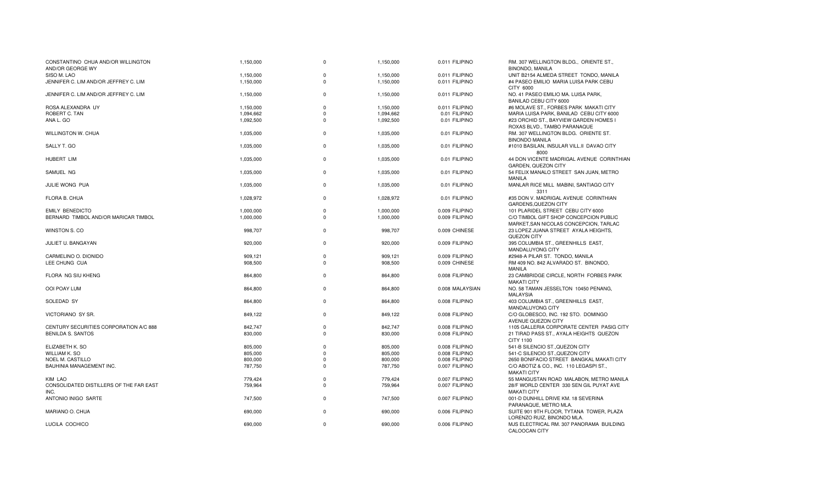| CONSTANTINO CHUA AND/OR WILLINGTON<br>AND/OR GEORGE WY | 1,150,000 | $\Omega$    | 1,150,000 | 0.011 FILIPINO  | RM. 307 WELLINGTON BLDG., ORIENTE ST.,<br><b>BINONDO, MANILA</b>                 |
|--------------------------------------------------------|-----------|-------------|-----------|-----------------|----------------------------------------------------------------------------------|
| SISO M. LAO                                            | 1,150,000 | $\Omega$    | 1,150,000 | 0.011 FILIPINO  | UNIT B2154 ALMEDA STREET TONDO, MANILA                                           |
| JENNIFER C. LIM AND/OR JEFFREY C. LIM                  | 1,150,000 | $\Omega$    | 1,150,000 | 0.011 FILIPINO  | #4 PASEO EMILIO MARIA LUISA PARK CEBU<br>CITY 6000                               |
| JENNIFER C. LIM AND/OR JEFFREY C. LIM                  | 1,150,000 | $\Omega$    | 1,150,000 | 0.011 FILIPINO  | NO. 41 PASEO EMILIO MA. LUISA PARK,<br>BANILAD CEBU CITY 6000                    |
| ROSA ALEXANDRA UY                                      | 1,150,000 | $\Omega$    | 1,150,000 | 0.011 FILIPINO  | #6 MOLAVE ST., FORBES PARK MAKATI CITY                                           |
| ROBERT C. TAN                                          | 1,094,662 | $\Omega$    | 1,094,662 | 0.01 FILIPINO   | MARIA LUISA PARK, BANILAD CEBU CITY 6000                                         |
| ANA L. GO                                              | 1,092,500 | $\Omega$    | 1,092,500 | 0.01 FILIPINO   | #23 ORCHID ST., BAYVIEW GARDEN HOMES I<br>ROXAS BLVD., TAMBO PARANAQUE           |
| WILLINGTON W. CHUA                                     | 1,035,000 | $\mathbf 0$ | 1,035,000 | 0.01 FILIPINO   | RM. 307 WELLINGTON BLDG. ORIENTE ST.<br><b>BINONDO MANILA</b>                    |
| SALLY T. GO                                            | 1,035,000 | $\Omega$    | 1,035,000 | 0.01 FILIPINO   | #1010 BASILAN, INSULAR VILL.II DAVAO CITY<br>8000                                |
| HUBERT LIM                                             | 1,035,000 | $\mathbf 0$ | 1,035,000 | 0.01 FILIPINO   | 44 DON VICENTE MADRIGAL AVENUE CORINTHIAN<br><b>GARDEN, QUEZON CITY</b>          |
| SAMUEL NG                                              | 1,035,000 | $\mathbf 0$ | 1,035,000 | 0.01 FILIPINO   | 54 FELIX MANALO STREET SAN JUAN, METRO<br><b>MANILA</b>                          |
| JULIE WONG PUA                                         | 1,035,000 | $\mathbf 0$ | 1,035,000 | 0.01 FILIPINO   | MANLAR RICE MILL MABINI, SANTIAGO CITY<br>3311                                   |
| FLORA B. CHUA                                          | 1,028,972 | $\Omega$    | 1,028,972 | 0.01 FILIPINO   | #35 DON V. MADRIGAL AVENUE CORINTHIAN<br><b>GARDENS, QUEZON CITY</b>             |
| <b>EMILY BENEDICTO</b>                                 | 1,000,000 | $\Omega$    | 1,000,000 | 0.009 FILIPINO  | 101 PLARIDEL STREET CEBU CITY 6000                                               |
| BERNARD TIMBOL AND/OR MARICAR TIMBOL                   | 1,000,000 | $\Omega$    | 1,000,000 | 0.009 FILIPINO  | C/O TIMBOL GIFT SHOP CONCEPCION PUBLIC<br>MARKET, SAN NICOLAS CONCEPCION, TARLAC |
| WINSTON S. CO                                          | 998,707   | $\mathbf 0$ | 998,707   | 0.009 CHINESE   | 23 LOPEZ JUANA STREET AYALA HEIGHTS,<br>QUEZON CITY                              |
| JULIET U. BANGAYAN                                     | 920,000   | $\mathbf 0$ | 920,000   | 0.009 FILIPINO  | 395 COLUMBIA ST., GREENHILLS EAST,<br>MANDALUYONG CITY                           |
| CARMELINO O. DIONIDO                                   | 909,121   | $\mathbf 0$ | 909,121   | 0.009 FILIPINO  | #2948-A PILAR ST. TONDO, MANILA                                                  |
| LEE CHUNG CUA                                          | 908,500   | $\Omega$    | 908,500   | 0.009 CHINESE   | RM 409 NO. 842 ALVARADO ST. BINONDO,<br><b>MANILA</b>                            |
| FLORA NG SIU KHENG                                     | 864,800   | $\Omega$    | 864,800   | 0.008 FILIPINO  | 23 CAMBRIDGE CIRCLE, NORTH FORBES PARK<br><b>MAKATI CITY</b>                     |
| <b>OOI POAY LUM</b>                                    | 864,800   | $\Omega$    | 864,800   | 0.008 MALAYSIAN | NO. 58 TAMAN JESSELTON 10450 PENANG.<br><b>MALAYSIA</b>                          |
| SOLEDAD SY                                             | 864,800   | $\Omega$    | 864,800   | 0.008 FILIPINO  | 403 COLUMBIA ST., GREENHILLS EAST,<br>MANDALUYONG CITY                           |
| VICTORIANO SY SR.                                      | 849,122   | $\Omega$    | 849,122   | 0.008 FILIPINO  | C/O GLOBESCO, INC. 192 STO. DOMINGO<br>AVENUE QUEZON CITY                        |
| CENTURY SECURITIES CORPORATION A/C 888                 | 842.747   | $\Omega$    | 842.747   | 0.008 FILIPINO  | 1105 GALLERIA CORPORATE CENTER PASIG CITY                                        |
| <b>BENILDA S. SANTOS</b>                               | 830,000   | $\Omega$    | 830,000   | 0.008 FILIPINO  | 21 TIRAD PASS ST., AYALA HEIGHTS QUEZON<br>CITY 1100                             |
| ELIZABETH K. SO                                        | 805,000   | $\Omega$    | 805,000   | 0.008 FILIPINO  | 541-B SILENCIO ST., QUEZON CITY                                                  |
| <b>WILLIAM K. SO</b>                                   | 805,000   | $\Omega$    | 805,000   | 0.008 FILIPINO  | 541-C SILENCIO ST., QUEZON CITY                                                  |
| NOEL M. CASTILLO                                       | 800,000   | $\Omega$    | 800,000   | 0.008 FILIPINO  | 2650 BONIFACIO STREET BANGKAL MAKATI CITY                                        |
| <b>BAUHINIA MANAGEMENT INC.</b>                        | 787,750   | $\Omega$    | 787,750   | 0.007 FILIPINO  | C/O ABOTIZ & CO., INC. 110 LEGASPI ST.,<br><b>MAKATI CITY</b>                    |
| <b>KIM LAO</b>                                         | 779,424   | $\Omega$    | 779,424   | 0.007 FILIPINO  | 55 MANGUSTAN ROAD MALABON, METRO MANILA                                          |
| CONSOLIDATED DISTILLERS OF THE FAR EAST<br>INC.        | 759,964   | $\Omega$    | 759,964   | 0.007 FILIPINO  | 28/F WORLD CENTER 330 SEN GIL PUYAT AVE<br><b>MAKATI CITY</b>                    |
| ANTONIO INIGO SARTE                                    | 747,500   | $\Omega$    | 747,500   | 0.007 FILIPINO  | 001-D DUNHILL DRIVE KM. 18 SEVERINA<br>PARANAQUE, METRO MLA.                     |
| MARIANO O. CHUA                                        | 690,000   | $\Omega$    | 690,000   | 0.006 FILIPINO  | SUITE 901 9TH FLOOR, TYTANA TOWER, PLAZA<br>LORENZO RUIZ. BINONDO MLA.           |
| LUCILA COCHICO                                         | 690,000   | $\Omega$    | 690,000   | 0.006 FILIPINO  | MJS ELECTRICAL RM. 307 PANORAMA BUILDING<br>CALOOCAN CITY                        |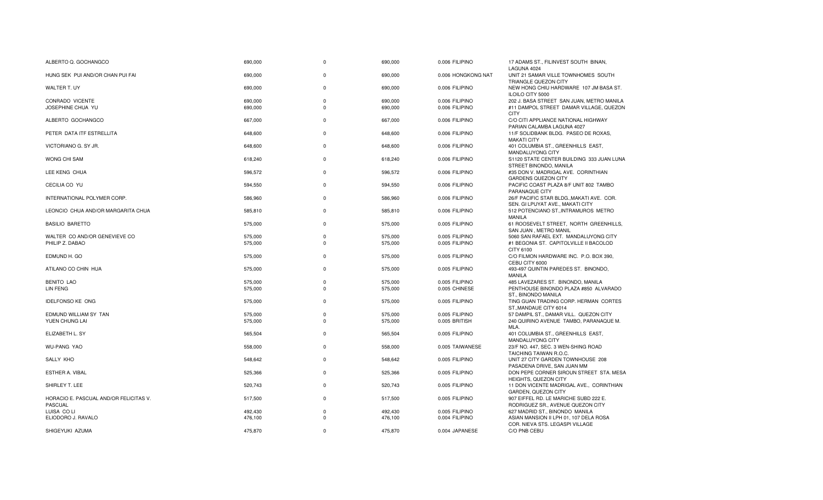| ALBERTO Q. GOCHANGCO                                     | 690,000 | $\mathbf 0$ | 690,000 | 0.006 FILIPINO     | 17 ADAMS ST., FILINVEST SOUTH BINAN,<br>LAGUNA 4024                           |
|----------------------------------------------------------|---------|-------------|---------|--------------------|-------------------------------------------------------------------------------|
| HUNG SEK PUI AND/OR CHAN PUI FAI                         | 690,000 | $\Omega$    | 690,000 | 0.006 HONGKONG NAT | UNIT 21 SAMAR VILLE TOWNHOMES SOUTH<br>TRIANGLE QUEZON CITY                   |
| <b>WALTER T. UY</b>                                      | 690,000 | $\Omega$    | 690,000 | 0.006 FILIPINO     | NEW HONG CHIU HARDWARE 107 JM BASA ST.<br><b>ILOILO CITY 5000</b>             |
| CONRADO VICENTE                                          | 690,000 | $\mathbf 0$ | 690,000 | 0.006 FILIPINO     | 202 J. BASA STREET SAN JUAN, METRO MANILA                                     |
| JOSEPHINE CHUA YU                                        | 690,000 | $\Omega$    | 690,000 | 0.006 FILIPINO     | #11 DAMPOL STREET DAMAR VILLAGE, QUEZON<br><b>CITY</b>                        |
| ALBERTO GOCHANGCO                                        | 667,000 | $\Omega$    | 667,000 | 0.006 FILIPINO     | C/O CITI APPLIANCE NATIONAL HIGHWAY<br>PARIAN CALAMBA LAGUNA 4027             |
| PETER DATA ITF ESTRELLITA                                | 648.600 | $\Omega$    | 648,600 | 0.006 FILIPINO     | 11/F SOLIDBANK BLDG. PASEO DE ROXAS,<br><b>MAKATI CITY</b>                    |
| VICTORIANO G. SY JR.                                     | 648,600 | $\Omega$    | 648,600 | 0.006 FILIPINO     | 401 COLUMBIA ST., GREENHILLS EAST,<br>MANDALUYONG CITY                        |
| WONG CHI SAM                                             | 618,240 | $\mathbf 0$ | 618,240 | 0.006 FILIPINO     | S1120 STATE CENTER BUILDING 333 JUAN LUNA<br>STREET BINONDO, MANILA           |
| LEE KENG CHUA                                            | 596,572 | $\Omega$    | 596,572 | 0.006 FILIPINO     | #35 DON V. MADRIGAL AVE. CORINTHIAN<br><b>GARDENS QUEZON CITY</b>             |
| CECILIA CO YU                                            | 594,550 | $\Omega$    | 594,550 | 0.006 FILIPINO     | PACIFIC COAST PLAZA 8/F UNIT 802 TAMBO<br>PARANAQUE CITY                      |
| INTERNATIONAL POLYMER CORP.                              | 586,960 | $\Omega$    | 586,960 | 0.006 FILIPINO     | 26/F PACIFIC STAR BLDG., MAKATI AVE. COR.<br>SEN. GI LPUYAT AVE., MAKATI CITY |
| LEONCIO CHUA AND/OR MARGARITA CHUA                       | 585,810 | $\Omega$    | 585,810 | 0.006 FILIPINO     | 512 POTENCIANO ST., INTRAMUROS METRO<br>MANILA                                |
| <b>BASILIO BARETTO</b>                                   | 575,000 | $\mathbf 0$ | 575,000 | 0.005 FILIPINO     | 61 ROOSEVELT STREET, NORTH GREENHILLS,<br>SAN JUAN . METRO MANIL              |
| WALTER CO AND/OR GENEVIEVE CO                            | 575,000 | $\mathbf 0$ | 575,000 | 0.005 FILIPINO     | 5060 SAN RAFAEL EXT. MANDALUYONG CITY                                         |
| PHILIP Z. DABAO                                          | 575,000 | $\Omega$    | 575,000 | 0.005 FILIPINO     | #1 BEGONIA ST. CAPITOLVILLE II BACOLOD<br>CITY 6100                           |
| EDMUND H. GO                                             | 575,000 | $\mathbf 0$ | 575,000 | 0.005 FILIPINO     | C/O FILMON HARDWARE INC. P.O. BOX 390,<br>CEBU CITY 6000                      |
| ATILANO CO CHIN HUA                                      | 575,000 | $\mathbf 0$ | 575,000 | 0.005 FILIPINO     | 493-497 QUINTIN PAREDES ST. BINONDO,<br><b>MANILA</b>                         |
| <b>BENITO LAO</b>                                        | 575,000 | 0           | 575,000 | 0.005 FILIPINO     | 485 LAVEZARES ST. BINONDO, MANILA                                             |
| LIN FENG                                                 | 575,000 | $\Omega$    | 575,000 | 0.005 CHINESE      | PENTHOUSE BINONDO PLAZA #850 ALVARADO<br>ST., BINONDO MANILA                  |
| <b>IDELFONSO KE ONG</b>                                  | 575,000 | $\mathbf 0$ | 575,000 | 0.005 FILIPINO     | TING GUAN TRADING CORP. HERMAN CORTES<br>ST., MANDAUE CITY 6014               |
| EDMUND WILLIAM SY TAN                                    | 575,000 | $\mathbf 0$ | 575,000 | 0.005 FILIPINO     | 57 DAMPIL ST., DAMAR VILL. QUEZON CITY                                        |
| YUEN CHUNG LAI                                           | 575,000 | $\Omega$    | 575,000 | 0.005 BRITISH      | 240 QUIRINO AVENUE TAMBO, PARANAQUE M.<br>MLA.                                |
| ELIZABETH L. SY                                          | 565,504 | $\Omega$    | 565,504 | 0.005 FILIPINO     | 401 COLUMBIA ST., GREENHILLS EAST,<br>MANDALUYONG CITY                        |
| <b>WU-PANG YAO</b>                                       | 558,000 | $\mathbf 0$ | 558,000 | 0.005 TAIWANESE    | 23/F NO. 447, SEC. 3 WEN-SHING ROAD<br>TAICHING TAIWAN R.O.C.                 |
| SALLY KHO                                                | 548,642 | $\mathbf 0$ | 548,642 | 0.005 FILIPINO     | UNIT 27 CITY GARDEN TOWNHOUSE 208<br>PASADENA DRIVE, SAN JUAN MM              |
| ESTHER A. VIBAL                                          | 525,366 | $\Omega$    | 525,366 | 0.005 FILIPINO     | DON PEPE CORNER SIROUN STREET STA. MESA<br><b>HEIGHTS, QUEZON CITY</b>        |
| SHIRLEY T. LEE                                           | 520,743 | $\Omega$    | 520,743 | 0.005 FILIPINO     | 11 DON VICENTE MADRIGAL AVE., CORINTHIAN<br>GARDEN, QUEZON CITY               |
| HORACIO E. PASCUAL AND/OR FELICITAS V.<br><b>PASCUAL</b> | 517,500 | $\Omega$    | 517,500 | 0.005 FILIPINO     | 907 EIFFEL RD. LE MARICHE SUBD 222 E.<br>RODRIGUEZ SR., AVENUE QUEZON CITY    |
| LUISA CO LI                                              | 492,430 | $\Omega$    | 492,430 | 0.005 FILIPINO     | 627 MADRID ST., BINONDO MANILA                                                |
| ELIODORO J. RAVALO                                       | 476,100 | $\Omega$    | 476,100 | 0.004 FILIPINO     | ASIAN MANSION II LPH 01, 107 DELA ROSA                                        |
| SHIGEYUKI AZUMA                                          | 475,870 | $\Omega$    | 475,870 | 0.004 JAPANESE     | COR. NIEVA STS. LEGASPI VILLAGE<br>C/O PNB CEBU                               |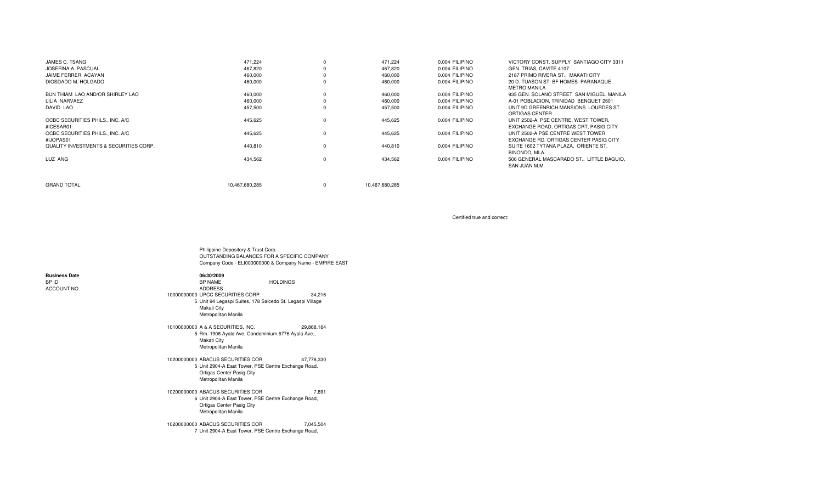| JAMES C. TSANG                         | 471.224        |          | 471,224        | 0.004 FILIPINO | VICTORY CONST, SUPPLY SANTIAGO CITY 3311  |
|----------------------------------------|----------------|----------|----------------|----------------|-------------------------------------------|
| JOSEFINA A. PASCUAL                    | 467,820        |          | 467.820        | 0.004 FILIPINO | GEN. TRIAS, CAVITE 4107                   |
| JAIME FERRER ACAYAN                    | 460,000        |          | 460,000        | 0.004 FILIPINO | 2187 PRIMO RIVERA ST., MAKATI CITY        |
| DIOSDADO M. HOLGADO                    | 460,000        |          | 460,000        | 0.004 FILIPINO | 20 D. TUASON ST. BF HOMES PARANAQUE,      |
|                                        |                |          |                |                | <b>METRO MANILA</b>                       |
| BUN THIAM LAO AND/OR SHIRLEY LAO       | 460,000        |          | 460.000        | 0.004 FILIPINO | 935 GEN, SOLANO STREET SAN MIGUEL, MANILA |
| LILIA NARVAEZ                          | 460,000        |          | 460,000        | 0.004 FILIPINO | A-01 POBLACION, TRINIDAD BENGUET 2601     |
| <b>DAVID LAO</b>                       | 457,500        |          | 457.500        | 0.004 FILIPINO | UNIT 9D GREENRICH MANSIONS LOURDES ST.    |
|                                        |                |          |                |                | ORTIGAS CENTER                            |
| OCBC SECURITIES PHILS., INC. A/C       | 445.625        |          | 445.625        | 0.004 FILIPINO | UNIT 2502-A. PSE CENTRE. WEST TOWER.      |
| #ICESAR01                              |                |          |                |                | EXCHANGE ROAD, ORTIGAS CRT, PASIG CITY    |
| OCBC SECURITIES PHILS., INC. A/C       | 445,625        | $\Omega$ | 445,625        | 0.004 FILIPINO | UNIT 2502-A PSE CENTRE WEST TOWER         |
| #IJOPAS01                              |                |          |                |                | EXCHANGE RD. ORTIGAS CENTER PASIG CITY    |
| QUALITY INVESTMENTS & SECURITIES CORP. | 440,810        | $\Omega$ | 440,810        | 0.004 FILIPINO | SUITE 1602 TYTANA PLAZA. ORIENTE ST.      |
|                                        |                |          |                |                | BINONDO, MLA.                             |
| LUZ ANG                                | 434,562        | $\Omega$ | 434,562        | 0.004 FILIPINO | 506 GENERAL MASCARADO ST., LITTLE BAGUIO. |
|                                        |                |          |                |                | SAN JUAN M.M.                             |
|                                        |                |          |                |                |                                           |
|                                        |                |          |                |                |                                           |
| <b>GRAND TOTAL</b>                     | 10.467.680.285 | $\Omega$ | 10.467.680.285 |                |                                           |

Certified true and correct:

Philippine Depository & Trust Corp. OUTSTANDING BALANCES FOR A SPECIFIC COMPANY Company Code - ELI000000000 & Company Name - EMPIRE EAST

# **Business Date**BP ID

ACCOUNT NO.

| D         | BP NAME                                                                                         | <b>HOLDINGS</b> |
|-----------|-------------------------------------------------------------------------------------------------|-----------------|
| :OUNT NO. | <b>ADDRESS</b>                                                                                  |                 |
|           | 10000000000 UPCC SECURITIES CORP.                                                               | 34.216          |
|           | 5 Unit 94 Legaspi Suites, 178 Salcedo St. Legaspi Village<br>Makati City<br>Metropolitan Manila |                 |
|           | 10100000000 A & A SECURITIES. INC.                                                              | 29.868.164      |
|           | 5 Rm. 1906 Ayala Ave. Condominium 6776 Ayala Ave.,                                              |                 |

**06/30/2009**

Makati City Metropolitan Manila

10200000000 ABACUS SECURITIES COR 47,778,330 5 Unit 2904-A East Tower, PSE Centre Exchange Road, Ortigas Center Pasig City Metropolitan Manila

10200000000 ABACUS SECURITIES COR 7,891 6 Unit 2904-A East Tower, PSE Centre Exchange Road, Ortigas Center Pasig City Metropolitan Manila

10200000000 ABACUS SECURITIES COR 7,045,504 7 Unit 2904-A East Tower, PSE Centre Exchange Road,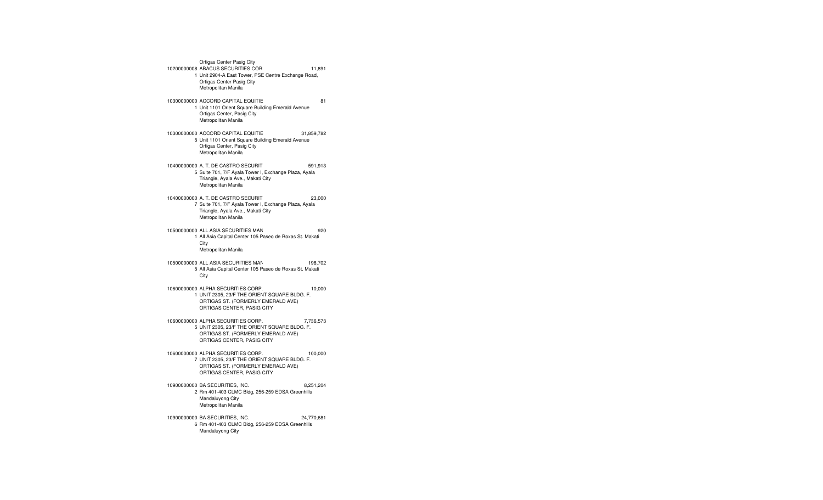Ortigas Center Pasig City 10200000008 ABACUS SECURITIES COR 11,891 1 Unit 2904-A East Tower, PSE Centre Exchange Road, Ortigas Center Pasig City Metropolitan Manila 10300000000 ACCORD CAPITAL EQUITIE 81 1 Unit 1101 Orient Square Building Emerald Avenue Ortigas Center, Pasig City Metropolitan Manila 10300000000 ACCORD CAPITAL EQUITIES CORPORATION31,859,782 5 Unit 1101 Orient Square Building Emerald Avenue Ortigas Center, Pasig City Metropolitan Manila 10400000000 A. T. DE CASTRO SECURITIES CORP. 591,913 5 Suite 701, 7/F Ayala Tower I, Exchange Plaza, Ayala Triangle, Ayala Ave., Makati City Metropolitan Manila 10400000000 A. T. DE CASTRO SECURITIES CORP. 23,000 7 Suite 701, 7/F Ayala Tower I, Exchange Plaza, Ayala Triangle, Ayala Ave., Makati City Metropolitan Manila 10500000000 ALL ASIA SECURITIES MANAGEMENT CORP. 920 1 All Asia Capital Center 105 Paseo de Roxas St. Makati City Metropolitan Manila 10500000000 ALL ASIA SECURITIES MANAGEMENT CORP. Omnibus Without Client Tax Identification Number Domestic 198,702 5 All Asia Capital Center 105 Paseo de Roxas St. Makati **City** 10600000000 ALPHA SECURITIES CORP. 10,000 1 UNIT 2305, 23/F THE ORIENT SQUARE BLDG. F. ORTIGAS ST. (FORMERLY EMERALD AVE) ORTIGAS CENTER, PASIG CITY 10600000000 ALPHA SECURITIES CORP. 7,736,573 5 UNIT 2305, 23/F THE ORIENT SQUARE BLDG. F. ORTIGAS ST. (FORMERLY EMERALD AVE) ORTIGAS CENTER, PASIG CITY 10600000000 ALPHA SECURITIES CORP. 100,000 7 UNIT 2305, 23/F THE ORIENT SQUARE BLDG. F. ORTIGAS ST. (FORMERLY EMERALD AVE) ORTIGAS CENTER, PASIG CITY 10900000000 BA SECURITIES, INC. 8,251,204 2 Rm 401-403 CLMC Bldg, 256-259 EDSA Greenhills Mandaluyong City Metropolitan Manila 10900000000 BA SECURITIES, INC. 24,770,681 6 Rm 401-403 CLMC Bldg, 256-259 EDSA Greenhills Mandaluyong City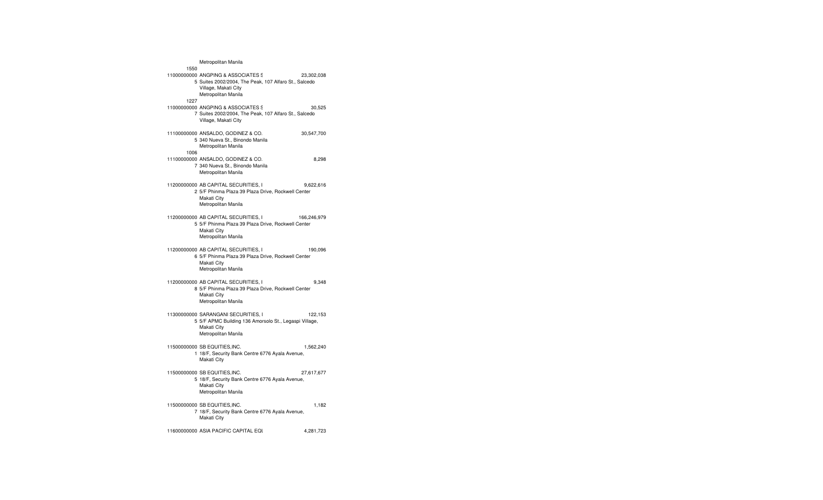| 1550 | Metropolitan Manila                                                                                                                        |             |
|------|--------------------------------------------------------------------------------------------------------------------------------------------|-------------|
|      | 11000000000 ANGPING & ASSOCIATES S<br>5 Suites 2002/2004, The Peak, 107 Alfaro St., Salcedo<br>Village, Makati City<br>Metropolitan Manila | 23,302,038  |
| 1227 | 11000000000 ANGPING & ASSOCIATES S<br>7 Suites 2002/2004, The Peak, 107 Alfaro St., Salcedo<br>Village, Makati City                        | 30,525      |
| 1006 | 11100000000 ANSALDO, GODINEZ & CO.<br>5 340 Nueva St., Binondo Manila<br>Metropolitan Manila                                               | 30,547,700  |
|      | 11100000000 ANSALDO, GODINEZ & CO.<br>7 340 Nueva St., Binondo Manila<br>Metropolitan Manila                                               | 8,298       |
|      | 11200000000 AB CAPITAL SECURITIES. I<br>2 5/F Phinma Plaza 39 Plaza Drive, Rockwell Center<br>Makati City<br>Metropolitan Manila           | 9,622,616   |
|      | 11200000000 AB CAPITAL SECURITIES, I<br>5 5/F Phinma Plaza 39 Plaza Drive, Rockwell Center<br>Makati City<br>Metropolitan Manila           | 166,246,979 |
|      | 11200000000 AB CAPITAL SECURITIES, I<br>6 5/F Phinma Plaza 39 Plaza Drive, Rockwell Center<br>Makati City<br>Metropolitan Manila           | 190,096     |
|      | 11200000000 AB CAPITAL SECURITIES, I<br>8 5/F Phinma Plaza 39 Plaza Drive, Rockwell Center<br>Makati City<br>Metropolitan Manila           | 9,348       |
|      | 11300000000 SARANGANI SECURITIES, I<br>5 5/F APMC Building 136 Amorsolo St., Legaspi Village,<br>Makati City<br>Metropolitan Manila        | 122,153     |
|      | 11500000000 SB EQUITIES.INC.<br>1 18/F, Security Bank Centre 6776 Ayala Avenue,<br>Makati City                                             | 1,562,240   |
|      | 11500000000 SB EQUITIES, INC.<br>5 18/F, Security Bank Centre 6776 Ayala Avenue,<br>Makati City<br>Metropolitan Manila                     | 27,617,677  |
|      | 11500000000 SB EQUITIES, INC.<br>7 18/F, Security Bank Centre 6776 Ayala Avenue,<br>Makati City                                            | 1,182       |
|      | 11600000000 ASIA PACIFIC CAPITAL EQU                                                                                                       | 4,281,723   |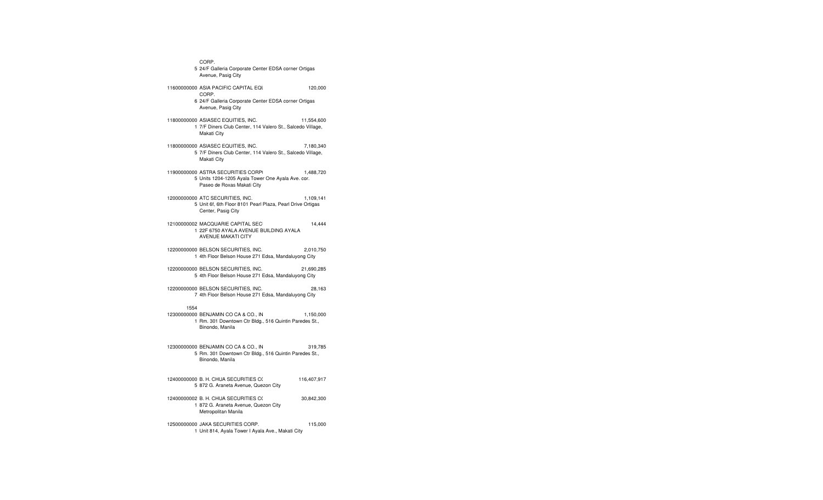CORP. 5 24/F Galleria Corporate Center EDSA corner Ortigas Avenue, Pasig City 11600000000 ASIA PACIFIC CAPITAL EQUITIES & SECURITIES & SECURITIES \$120,000 CORP. 6 24/F Galleria Corporate Center EDSA corner Ortigas Avenue, Pasig City 11800000000 ASIASEC EQUITIES, INC. 11,554,600 1 7/F Diners Club Center, 114 Valero St., Salcedo Village, Makati City 11800000000 ASIASEC EQUITIES, INC. 7,180,340 5 7/F Diners Club Center, 114 Valero St., Salcedo Village, Makati City 11900000000 ASTRA SECURITIES CORPI 1,488,720 5 Units 1204-1205 Ayala Tower One Ayala Ave. cor. Paseo de Roxas Makati City 12000000000 ATC SECURITIES, INC. 1,109,141 5 Unit 6f, 6th Floor 8101 Pearl Plaza, Pearl Drive Ortigas Center, Pasig City 12100000002 MACQUARIE CAPITAL SEC $14,444$ 1 22F 6750 AYALA AVENUE BUILDING AYALAAVENUE MAKATI CITY 12200000000 BELSON SECURITIES, INC. 2,010,750 1 4th Floor Belson House 271 Edsa, Mandaluyong City 12200000000 BELSON SECURITIES, INC. 21,690,285 5 4th Floor Belson House 271 Edsa, Mandaluyong City 12200000000 BELSON SECURITIES, INC. 28,163 7 4th Floor Belson House 271 Edsa, Mandaluyong City 155412300000000 BENJAMIN CO CA & CO., IN 1,150,000 1 Rm. 301 Downtown Ctr Bldg., 516 Quintin Paredes St., Binondo, Manila 12300000000 BENJAMIN CO CA & CO., INC. 319,785 5 Rm. 301 Downtown Ctr Bldg., 516 Quintin Paredes St., Binondo, Manila 12400000000 B. H. CHUA SECURITIES C( 116,407,917 5 872 G. Araneta Avenue, Quezon City 12400000002 B. H. CHUA SECURITIES C( 30,842,300 1 872 G. Araneta Avenue, Quezon City Metropolitan Manila 12500000000 JAKA SECURITIES CORP. 115,000 1 Unit 814, Ayala Tower I Ayala Ave., Makati City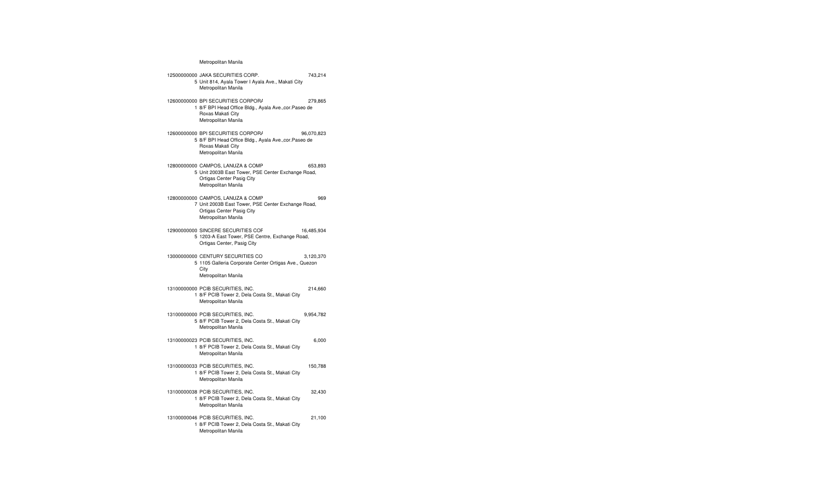### Metropolitan Manila

#### 12500000000 JAKA SECURITIES CORP. 743,214 5 Unit 814, Ayala Tower I Ayala Ave., Makati City Metropolitan Manila 12600000000 BPI SECURITIES CORPOR/ 279,865 1 8/F BPI Head Office Bldg., Ayala Ave.,cor.Paseo de Roxas Makati City Metropolitan Manila 12600000000 BPI SECURITIES CORPOR*I*  96,070,823 5 8/F BPI Head Office Bldg., Ayala Ave.,cor.Paseo de Roxas Makati City Metropolitan Manila

12800000000 CAMPOS, LANUZA & COMP 653,893 5 Unit 2003B East Tower, PSE Center Exchange Road, Ortigas Center Pasig City Metropolitan Manila

12800000000 CAMPOS, LANUZA & COMPANY, INC. 969 7 Unit 2003B East Tower, PSE Center Exchange Road, Ortigas Center Pasig City Metropolitan Manila

12900000000 SINCERE SECURITIES COF 16,485,934 5 1203-A East Tower, PSE Centre, Exchange Road, Ortigas Center, Pasig City

13000000000 CENTURY SECURITIES CO 3,120,370 5 1105 Galleria Corporate Center Ortigas Ave., Quezon **City** Metropolitan Manila

13100000000 PCIB SECURITIES, INC. 214,660 1 8/F PCIB Tower 2, Dela Costa St., Makati City Metropolitan Manila

13100000000 PCIB SECURITIES, INC. 9,954,782 5 8/F PCIB Tower 2, Dela Costa St., Makati City Metropolitan Manila

13100000023 PCIB SECURITIES, INC. 6,000 1 8/F PCIB Tower 2, Dela Costa St., Makati City Metropolitan Manila

13100000033 PCIB SECURITIES, INC. 150,788 1 8/F PCIB Tower 2, Dela Costa St., Makati City Metropolitan Manila

13100000038 PCIB SECURITIES, INC. 32,430 1 8/F PCIB Tower 2, Dela Costa St., Makati City Metropolitan Manila

13100000046 PCIB SECURITIES, INC. 21,100 1 8/F PCIB Tower 2, Dela Costa St., Makati City Metropolitan Manila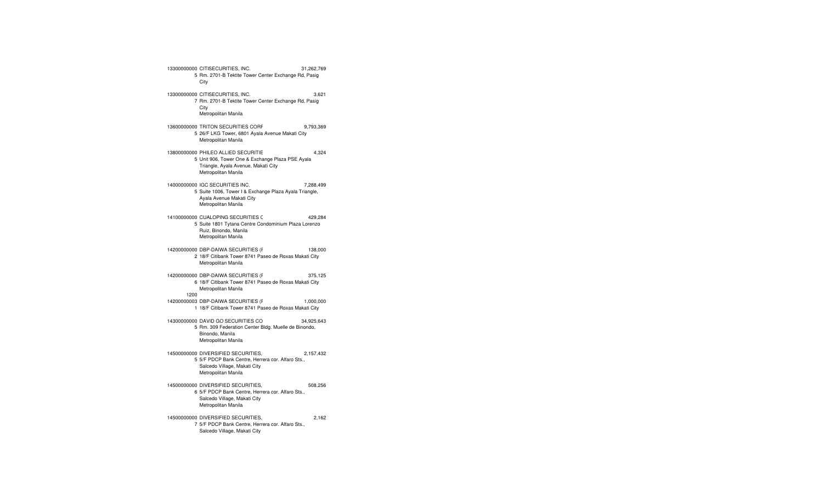13300000000 CITISECURITIES, INC. 31,262,769 5 Rm. 2701-B Tektite Tower Center Exchange Rd, Pasig City 13300000000 CITISECURITIES, INC. 3,621 7 Rm. 2701-B Tektite Tower Center Exchange Rd, Pasig **City** Metropolitan Manila 13600000000 TRITON SECURITIES CORP. 9,793,369 5 26/F LKG Tower, 6801 Ayala Avenue Makati City Metropolitan Manila 13800000000 PHILEO ALLIED SECURITIES (PHILIPPINES), INC. Omnibus 4,324 5 Unit 906, Tower One & Exchange Plaza PSE Ayala Triangle, Ayala Avenue, Makati City Metropolitan Manila 14000000000 IGC SECURITIES INC. 7,288,499 5 Suite 1006, Tower I & Exchange Plaza Ayala Triangle, Ayala Avenue Makati City Metropolitan Manila 14100000000 CUALOPING SECURITIES C 429,284 5 Suite 1801 Tytana Centre Condominium Plaza Lorenzo Ruiz, Binondo, Manila Metropolitan Manila 14200000000 DBP-DAIWA SECURITIES (F $\,$ 138,000  $\,$ 2 18/F Citibank Tower 8741 Paseo de Roxas Makati City Metropolitan Manila 14200000000 DBP-DAIWA SECURITIES (PHIL.), INC. 375,125 6 18/F Citibank Tower 8741 Paseo de Roxas Makati City Metropolitan Manila 120014200000003 DBP-DAIWA SECURITIES (F<sub>Nick</sub> 1,000,000 1 18/F Citibank Tower 8741 Paseo de Roxas Makati City 14300000000 DAVID GO SECURITIES CORP. 34,925,643 5 Rm. 309 Federation Center Bldg. Muelle de Binondo, Binondo, Manila Metropolitan Manila 14500000000 DIVERSIFIED SECURITIES, INC. 2,157,432 5 5/F PDCP Bank Centre, Herrera cor. Alfaro Sts., Salcedo Village, Makati City Metropolitan Manila 14500000000 DIVERSIFIED SECURITIES, INC. 508,256 6 5/F PDCP Bank Centre, Herrera cor. Alfaro Sts., Salcedo Village, Makati City Metropolitan Manila 14500000000 DIVERSIFIED SECURITIES,  $2,162$ 7 5/F PDCP Bank Centre, Herrera cor. Alfaro Sts., Salcedo Village, Makati City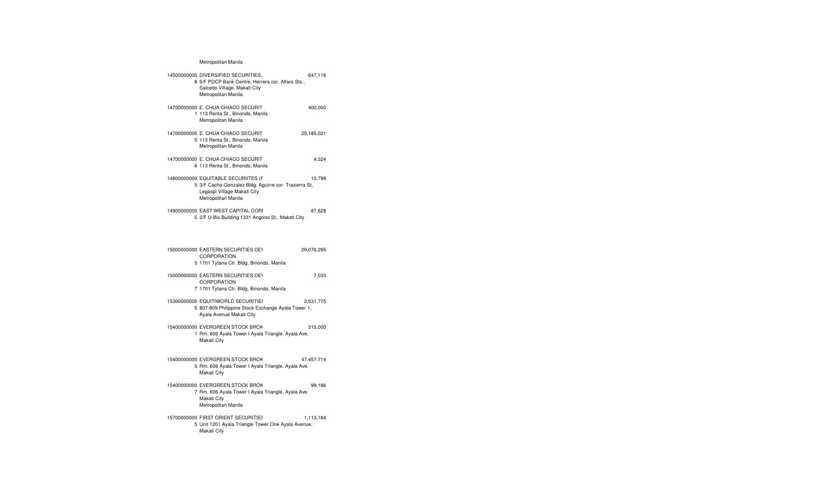## Metropolitan Manila

| 14500000000 DIVERSIFIED SECURITIES,<br>8 5/F PDCP Bank Centre, Herrera cor. Alfaro Sts.,<br>Salcedo Village, Makati City<br>Metropolitan Manila    | 647,116    |  |
|----------------------------------------------------------------------------------------------------------------------------------------------------|------------|--|
| 14700000000 E. CHUA CHIACO SECURIT<br>1 113 Renta St., Binondo, Manila<br>Metropolitan Manila                                                      | 400,000    |  |
| 14700000000 E. CHUA CHIACO SECURIT<br>5 113 Renta St., Binondo, Manila<br>Metropolitan Manila                                                      | 25,185,021 |  |
| 14700000000 E. CHUA CHIACO SECURIT<br>6 113 Renta St., Binondo, Manila                                                                             | 4,324      |  |
| 14800000000 EQUITABLE SECURIITES (F<br>5 3/F Cacho-Gonzalez Bldg, Aguirre cor. Trasierra St,<br>Legaspi Village Makati City<br>Metropolitan Manila | 10,799     |  |
| 14900000000 EAST WEST CAPITAL CORI<br>5 2/F U-Bix Building 1331 Angono St., Makati City                                                            | 87,628     |  |
| 15000000000 EASTERN SECURITIES DEV<br>CORPORATION<br>5 1701 Tytana Ctr. Bldg, Binondo, Manila                                                      | 29,076,295 |  |
| 15000000000 EASTERN SECURITIES DEV<br>CORPORATION<br>7 1701 Tytana Ctr. Bldg, Binondo, Manila                                                      | 7,033      |  |
| 15300000000 EQUITIWORLD SECURITIE!<br>5 807-809 Philippine Stock Exchange Ayala Tower 1,<br>Ayala Avenue Makati City                               | 2,531,775  |  |
| 15400000000 EVERGREEN STOCK BROK<br>1 Rm. 606 Ayala Tower I Ayala Triangle, Ayala Ave.<br>Makati City                                              | 315,000    |  |
| 15400000000 EVERGREEN STOCK BROK<br>5 Rm. 606 Ayala Tower I Ayala Triangle, Ayala Ave.<br>Makati City                                              | 47,457,714 |  |
| 15400000000 EVERGREEN STOCK BROK<br>7 Rm. 606 Ayala Tower I Ayala Triangle, Ayala Ave.<br>Makati City<br>Metropolitan Manila                       | 99,186     |  |
| 15700000000 FIRST ORIENT SECURITIES<br>5 Unit 1201 Ayala Triangle Tower One Ayala Avenue,<br>Makati City                                           | 1,113,184  |  |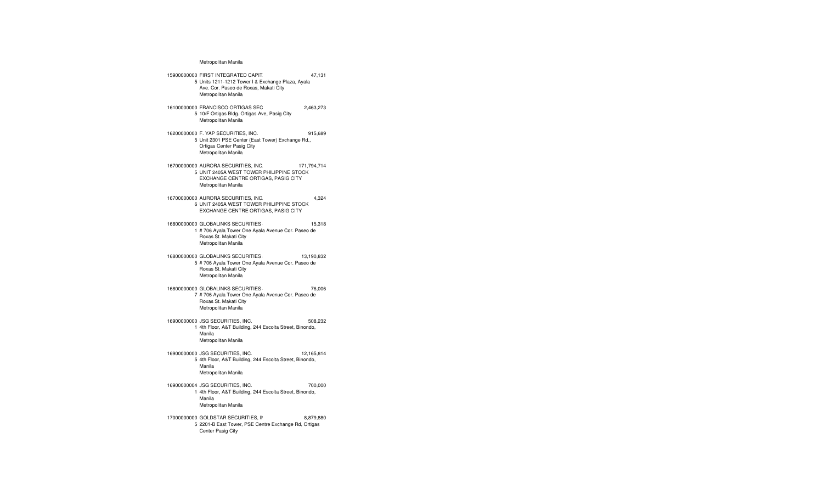#### Metropolitan Manila

15900000000 FIRST INTEGRATED CAPITAL SECURITIES, INC.Omnibus Without Client 47,131 5 Units 1211-1212 Tower I & Exchange Plaza, Ayala Ave. Cor. Paseo de Roxas, Makati City Metropolitan Manila 16100000000 FRANCISCO ORTIGAS SEC 2,463,273 5 10/F Ortigas Bldg. Ortigas Ave, Pasig City Metropolitan Manila 16200000000 F. YAP SECURITIES, INC. 915,689 5 Unit 2301 PSE Center (East Tower) Exchange Rd., Ortigas Center Pasig City Metropolitan Manila 16700000000 AURORA SECURITIES, INC. 171,794,714 5 UNIT 2405A WEST TOWER PHILIPPINE STOCKEXCHANGE CENTRE ORTIGAS, PASIG CITY Metropolitan Manila 16700000000 AURORA SECURITIES, INC. 4,324 6 UNIT 2405A WEST TOWER PHILIPPINE STOCK EXCHANGE CENTRE ORTIGAS, PASIG CITY 16800000000 GLOBALINKS SECURITIES & STOCKS, INC. 15,318 1 # 706 Ayala Tower One Ayala Avenue Cor. Paseo de Roxas St. Makati City Metropolitan Manila 16800000000 GLOBALINKS SECURITIES 43,190,832 5 # 706 Ayala Tower One Ayala Avenue Cor. Paseo de Roxas St. Makati City Metropolitan Manila 16800000000 GLOBALINKS SECURITIES & STOCKS, INC. 76,006 7 # 706 Ayala Tower One Ayala Avenue Cor. Paseo de Roxas St. Makati City Metropolitan Manila 16900000000 JSG SECURITIES, INC. 508,232 1 4th Floor, A&T Building, 244 Escolta Street, Binondo, Manila Metropolitan Manila 16900000000 JSG SECURITIES, INC. 12,165,814 5 4th Floor, A&T Building, 244 Escolta Street, Binondo, Manila Metropolitan Manila 16900000004 JSG SECURITIES, INC. 700,000 1 4th Floor, A&T Building, 244 Escolta Street, Binondo, Manila Metropolitan Manila 17000000000 GOLDSTAR SECURITIES, II 8,879,880 5 2201-B East Tower, PSE Centre Exchange Rd, Ortigas Center Pasig City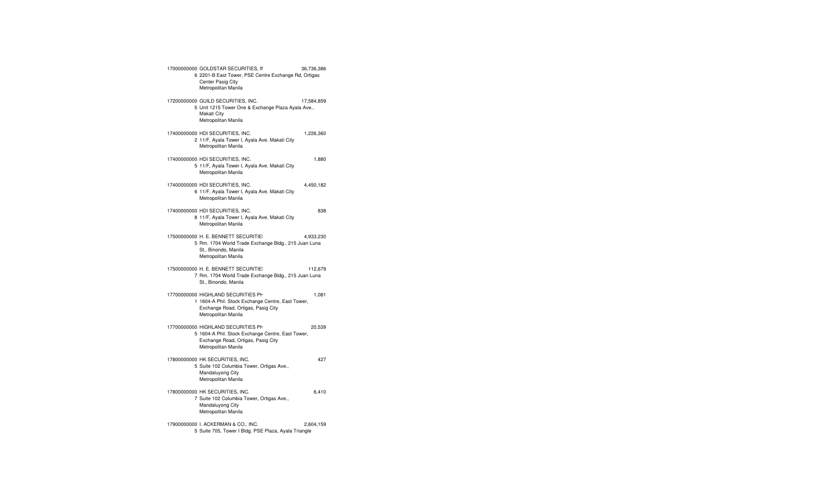| 17000000000 GOLDSTAR SECURITIES, IN<br>6 2201-B East Tower, PSE Centre Exchange Rd, Ortigas<br>Center Pasig City<br>Metropolitan Manila              | 36,736,386 |  |
|------------------------------------------------------------------------------------------------------------------------------------------------------|------------|--|
| 17200000000 GUILD SECURITIES, INC.<br>5 Unit 1215 Tower One & Exchange Plaza Ayala Ave.,<br>Makati City<br>Metropolitan Manila                       | 17,584,859 |  |
| 17400000000 HDI SECURITIES, INC.<br>2 11/F, Ayala Tower I, Ayala Ave. Makati City<br>Metropolitan Manila                                             | 1,226,360  |  |
| 17400000000 HDI SECURITIES, INC.<br>5 11/F, Ayala Tower I, Ayala Ave. Makati City<br>Metropolitan Manila                                             | 1,880      |  |
| 17400000000 HDI SECURITIES, INC.<br>6 11/F, Ayala Tower I, Ayala Ave. Makati City<br>Metropolitan Manila                                             | 4,450,182  |  |
| 17400000000 HDI SECURITIES, INC.<br>8 11/F, Ayala Tower I, Ayala Ave. Makati City<br>Metropolitan Manila                                             | 838        |  |
| 17500000000 H. E. BENNETT SECURITIE:<br>5 Rm. 1704 World Trade Exchange Bldg., 215 Juan Luna<br>St., Binondo, Manila<br>Metropolitan Manila          | 4,933,230  |  |
| 17500000000 H. E. BENNETT SECURITIE:<br>7 Rm. 1704 World Trade Exchange Bldg., 215 Juan Luna<br>St., Binondo, Manila                                 | 112,679    |  |
| 17700000000 HIGHLAND SECURITIES PH<br>1 1604-A Phil. Stock Exchange Centre, East Tower,<br>Exchange Road, Ortigas, Pasig City<br>Metropolitan Manila | 1,081      |  |
| 17700000000 HIGHLAND SECURITIES PH<br>5 1604-A Phil. Stock Exchange Centre, East Tower,<br>Exchange Road, Ortigas, Pasig City<br>Metropolitan Manila | 20,539     |  |
| 17800000000 HK SECURITIES, INC.<br>5 Suite 102 Columbia Tower, Ortigas Ave.,<br>Mandaluyong City<br>Metropolitan Manila                              | 427        |  |
| 17800000000 HK SECURITIES, INC.<br>7 Suite 102 Columbia Tower, Ortigas Ave.,<br>Mandaluyong City<br>Metropolitan Manila                              | 6,410      |  |
| 17900000000 I. ACKERMAN & CO., INC.<br>5 Suite 705, Tower I Bldg. PSE Plaza, Ayala Triangle                                                          | 2,604,159  |  |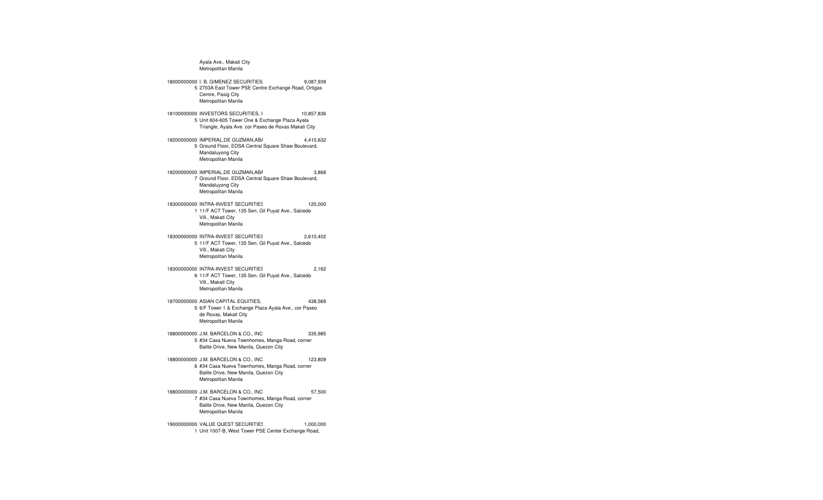Ayala Ave., Makati City Metropolitan Manila 18000000000 I. B. GIMENEZ SECURITIES, INC. 9,087,939 5 2703A East Tower PSE Centre Exchange Road, Ortigas Centre, Pasig City Metropolitan Manila 18100000000 INVESTORS SECURITIES, INC, 10,857,836 5 Unit 604-605 Tower One & Exchange Plaza Ayala Triangle, Ayala Ave. cor Paseo de Roxas Makati City 18200000000 IMPERIAL,DE GUZMAN,AB/ 4,410,632 5 Ground Floor, EDSA Central Square Shaw Boulevard, Mandaluyong City Metropolitan Manila 18200000000 IMPERIAL,DE GUZMAN,AB/ 3,868 7 Ground Floor, EDSA Central Square Shaw Boulevard, Mandaluyong City Metropolitan Manila 18300000000 INTRA-INVEST SECURITIES 120,000 1 11/F ACT Tower, 135 Sen. Gil Puyat Ave., Salcedo Vill., Makati City Metropolitan Manila 18300000000 INTRA-INVEST SECURITIES, INC. 2,610,402 5 11/F ACT Tower, 135 Sen. Gil Puyat Ave., Salcedo Vill., Makati City Metropolitan Manila 18300000000 INTRA-INVEST SECURITIES, INC. 2,162 6 11/F ACT Tower, 135 Sen. Gil Puyat Ave., Salcedo Vill., Makati City Metropolitan Manila 18700000000 ASIAN CAPITAL EQUITIES, INC. 438,569 5 6/F Tower 1 & Exchange Plaza Ayala Ave., cor Paseo de Roxas, Makati City Metropolitan Manila 18800000000 J.M. BARCELON & CO., INC. 335,985 5 #34 Casa Nueva Townhomes, Manga Road, corner Balite Drive, New Manila, Quezon City 18800000000 J.M. BARCELON & CO., INC. 123,809 6 #34 Casa Nueva Townhomes, Manga Road, corner Balite Drive, New Manila, Quezon City Metropolitan Manila 18800000000 J.M. BARCELON & CO., INC. 57,500 7 #34 Casa Nueva Townhomes, Manga Road, corner Balite Drive, New Manila, Quezon City Metropolitan Manila

19000000000 VALUE QUEST SECURITIES  $1,000,000$ 1 Unit 1007-B, West Tower PSE Center Exchange Road,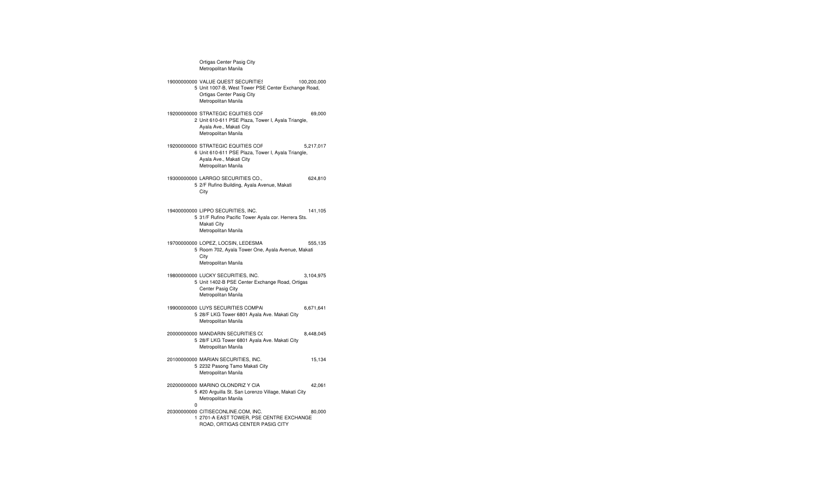Ortigas Center Pasig City Metropolitan Manila 19000000000 VALUE QUEST SECURITIES CORPORATION 100,200,000 5 Unit 1007-B, West Tower PSE Center Exchange Road, Ortigas Center Pasig City Metropolitan Manila 19200000000 STRATEGIC EQUITIES CORP. 69,000 2 Unit 610-611 PSE Plaza, Tower I, Ayala Triangle, Ayala Ave., Makati City Metropolitan Manila 19200000000 STRATEGIC EQUITIES CORP. 5,217,017 6 Unit 610-611 PSE Plaza, Tower I, Ayala Triangle, Ayala Ave., Makati City Metropolitan Manila 19300000000 LARRGO SECURITIES CO., INC. 624,810 5 2/F Rufino Building, Ayala Avenue, Makati City 19400000000 LIPPO SECURITIES, INC. 141,105 5 31/F Rufino Pacific Tower Ayala cor. Herrera Sts. Makati City Metropolitan Manila 19700000000 LOPEZ, LOCSIN, LEDESMA & CO., INC. 555,135 5 Room 702, Ayala Tower One, Ayala Avenue, Makati City Metropolitan Manila 19800000000 LUCKY SECURITIES, INC. 3,104,975 5 Unit 1402-B PSE Center Exchange Road, Ortigas Center Pasig City Metropolitan Manila 19900000000 LUYS SECURITIES COMPAI $\qquad \qquad \qquad 6.671.641$ 5 28/F LKG Tower 6801 Ayala Ave. Makati City Metropolitan Manila 200000000000 MANDARIN SECURITIES C( 8,448,045 5 28/F LKG Tower 6801 Ayala Ave. Makati City Metropolitan Manila 20100000000 MARIAN SECURITIES, INC. 15,134 5 2232 Pasong Tamo Makati City Metropolitan Manila 20200000000 MARINO OLONDRIZ Y CIA 42,061 5 #20 Arguilla St. San Lorenzo Village, Makati City Metropolitan Manila 0 20300000000 CITISECONLINE.COM, INC. 80,000 1 2701-A EAST TOWER, PSE CENTRE EXCHANGE ROAD, ORTIGAS CENTER PASIG CITY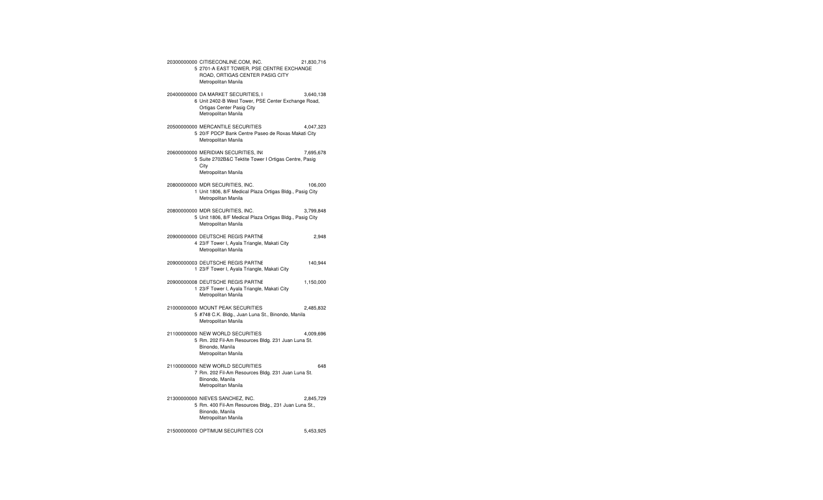20300000000 CITISECONLINE.COM, INC. 21,830,716 5 2701-A EAST TOWER, PSE CENTRE EXCHANGE ROAD, ORTIGAS CENTER PASIG CITY Metropolitan Manila 20400000000 DA MARKET SECURITIES, INC. 3,640,138 6 Unit 2402-B West Tower, PSE Center Exchange Road, Ortigas Center Pasig City Metropolitan Manila 20500000000 MERCANTILE SECURITIES CORP. 4,047,323 5 20/F PDCP Bank Centre Paseo de Roxas Makati City Metropolitan Manila 20600000000 MERIDIAN SECURITIES, INC. 7,695,678 5 Suite 2702B&C Tektite Tower I Ortigas Centre, Pasig **City** Metropolitan Manila 20800000000 MDR SECURITIES, INC. 106,000 1 Unit 1806, 8/F Medical Plaza Ortigas Bldg., Pasig City Metropolitan Manila 20800000000 MDR SECURITIES, INC. 3,799,848 5 Unit 1806, 8/F Medical Plaza Ortigas Bldg., Pasig City Metropolitan Manila 20900000000 DEUTSCHE REGIS PARTNE $\hskip 1.6cm 2.948$ 4 23/F Tower I, Ayala Triangle, Makati City Metropolitan Manila 20900000003 DEUTSCHE REGIS PARTNE 140,944 1 23/F Tower I, Ayala Triangle, Makati City 20900000008 DEUTSCHE REGIS PARTNERS, INC. 1,150,000 1 23/F Tower I, Ayala Triangle, Makati City Metropolitan Manila 21000000000 MOUNT PEAK SECURITIES, INC. 2,485,832 5 #748 C.K. Bldg., Juan Luna St., Binondo, Manila Metropolitan Manila 21100000000 NEW WORLD SECURITIES  $\qquad \qquad \qquad 4,009,696$ 5 Rm. 202 Fil-Am Resources Bldg. 231 Juan Luna St. Binondo, Manila Metropolitan Manila 21100000000 NEW WORLD SECURITIES 648 7 Rm. 202 Fil-Am Resources Bldg. 231 Juan Luna St. Binondo, Manila Metropolitan Manila 21300000000 NIEVES SANCHEZ, INC. 2,845,729 5 Rm. 400 Fil-Am Resources Bldg., 231 Juan Luna St., Binondo, Manila Metropolitan Manila 21500000000 OPTIMUM SECURITIES COI 5,453,925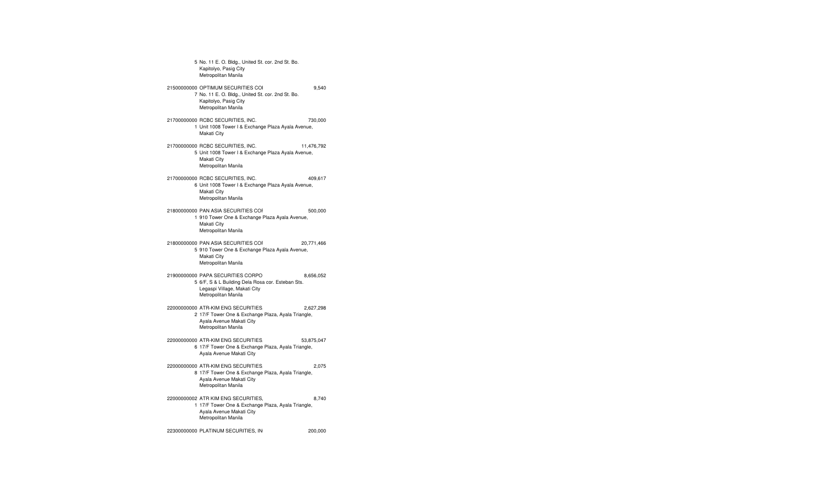5 No. 11 E. O. Bldg., United St. cor. 2nd St. Bo. Kapitolyo, Pasig City Metropolitan Manila 21500000000 OPTIMUM SECURITIES COI 9,540 7 No. 11 E. O. Bldg., United St. cor. 2nd St. Bo. Kapitolyo, Pasig City Metropolitan Manila 21700000000 RCBC SECURITIES, INC. 730,000 1 Unit 1008 Tower I & Exchange Plaza Ayala Avenue, Makati City 21700000000 RCBC SECURITIES, INC. 11,476,792 5 Unit 1008 Tower I & Exchange Plaza Ayala Avenue, Makati City Metropolitan Manila 21700000000 RCBC SECURITIES, INC. 409,617 6 Unit 1008 Tower I & Exchange Plaza Ayala Avenue, Makati City Metropolitan Manila 21800000000 PAN ASIA SECURITIES CORP. 500,000 1 910 Tower One & Exchange Plaza Ayala Avenue, Makati City Metropolitan Manila 21800000000 PAN ASIA SECURITIES CORP. 20,771,466 5 910 Tower One & Exchange Plaza Ayala Avenue, Makati City Metropolitan Manila 21900000000 PAPA SECURITIES CORPO 8,656,052 5 6/F, S & L Building Dela Rosa cor. Esteban Sts. Legaspi Village, Makati City Metropolitan Manila 22000000000 ATR-KIM ENG SECURITIES, INC. 2,627,298 2 17/F Tower One & Exchange Plaza, Ayala Triangle, Ayala Avenue Makati City Metropolitan Manila 22000000000 ATR-KIM ENG SECURITIES, INC. 53,875,047 6 17/F Tower One & Exchange Plaza, Ayala Triangle, Ayala Avenue Makati City 22000000000 ATR-KIM ENG SECURITIES, INC. 2,075 8 17/F Tower One & Exchange Plaza, Ayala Triangle, Ayala Avenue Makati City Metropolitan Manila 22000000002 ATR KIM ENG SECURITIES, INC. 8,740 1 17/F Tower One & Exchange Plaza, Ayala Triangle, Ayala Avenue Makati City Metropolitan Manila

22300000000 PLATINUM SECURITIES, INC. 200,000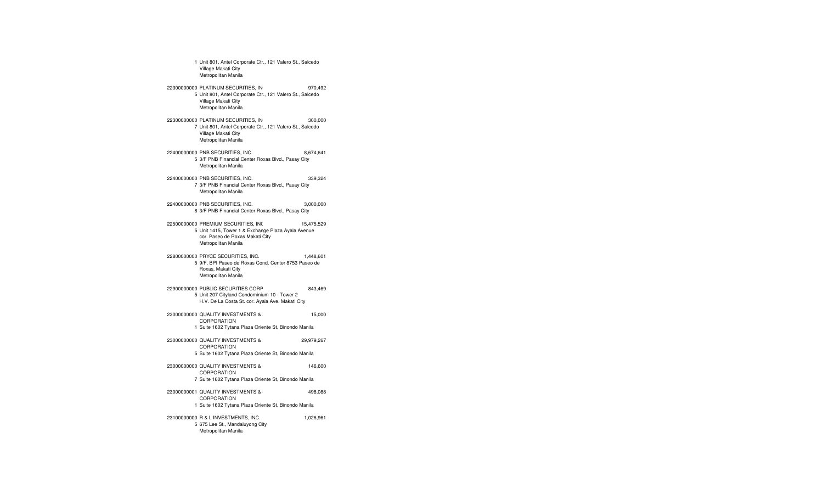1 Unit 801, Antel Corporate Ctr., 121 Valero St., Salcedo Village Makati City Metropolitan Manila 22300000000 PLATINUM SECURITIES, INC. 970,492 5 Unit 801, Antel Corporate Ctr., 121 Valero St., Salcedo Village Makati City Metropolitan Manila 22300000000 PLATINUM SECURITIES, INC. 300,000 7 Unit 801, Antel Corporate Ctr., 121 Valero St., Salcedo Village Makati City Metropolitan Manila 22400000000 PNB SECURITIES, INC. 8,674,641 5 3/F PNB Financial Center Roxas Blvd., Pasay City Metropolitan Manila 22400000000 PNB SECURITIES, INC. 339,324 7 3/F PNB Financial Center Roxas Blvd., Pasay City Metropolitan Manila 22400000000 PNB SECURITIES, INC. 3,000,000 8 3/F PNB Financial Center Roxas Blvd., Pasay City 22500000000 PREMIUM SECURITIES, INC. 15,475,529 5 Unit 1415, Tower 1 & Exchange Plaza Ayala Avenue cor. Paseo de Roxas Makati City Metropolitan Manila 22800000000 PRYCE SECURITIES, INC. 1,448,601 5 9/F, BPI Paseo de Roxas Cond. Center 8753 Paseo de Roxas, Makati City Metropolitan Manila 22900000000 PUBLIC SECURITIES CORP 843,469 5 Unit 207 Cityland Condominium 10 - Tower 2 H.V. De La Costa St. cor. Ayala Ave. Makati City 23000000000 QUALITY INVESTMENTS & 15,000 CORPORATION 1 Suite 1602 Tytana Plaza Oriente St, Binondo Manila 23000000000 QUALITY INVESTMENTS & SECURITIES 29,979,267 CORPORATION 5 Suite 1602 Tytana Plaza Oriente St, Binondo Manila 23000000000 QUALITY INVESTMENTS & 146,600 CORPORATION 7 Suite 1602 Tytana Plaza Oriente St, Binondo Manila 23000000001 QUALITY INVESTMENTS & SECURITIES 498,088 CORPORATION 1 Suite 1602 Tytana Plaza Oriente St, Binondo Manila 23100000000 R & L INVESTMENTS, INC. 1,026,961 5 675 Lee St., Mandaluyong City Metropolitan Manila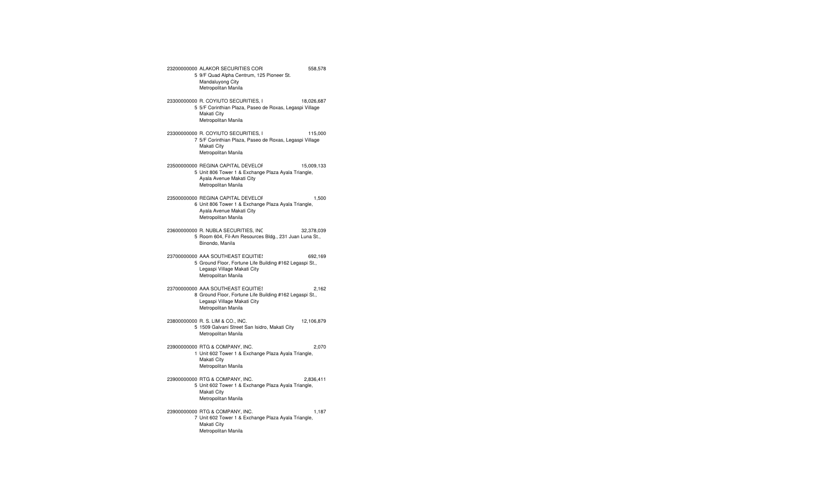23200000000 ALAKOR SECURITIES COR 558,578 5 9/F Quad Alpha Centrum, 125 Pioneer St. Mandaluyong City Metropolitan Manila 23300000000 R. COYIUTO SECURITIES, I 18,026,687 5 5/F Corinthian Plaza, Paseo de Roxas, Legaspi Village Makati City Metropolitan Manila 23300000000 R. COYIUTO SECURITIES, INC. 115,000 7 5/F Corinthian Plaza, Paseo de Roxas, Legaspi Village Makati City Metropolitan Manila 23500000000 REGINA CAPITAL DEVELOF 15,009 15,009,133 5 Unit 806 Tower 1 & Exchange Plaza Ayala Triangle, Ayala Avenue Makati City Metropolitan Manila 23500000000 REGINA CAPITAL DEVELOPMENT CORPORATION1,500 6 Unit 806 Tower 1 & Exchange Plaza Ayala Triangle, Ayala Avenue Makati City Metropolitan Manila 23600000000 R. NUBLA SECURITIES, INC. 32,378,039 5 Room 604, Fil-Am Resources Bldg., 231 Juan Luna St., Binondo, Manila 23700000000 AAA SOUTHEAST EQUITIES, INCORPORATION 692,169 5 Ground Floor, Fortune Life Building #162 Legaspi St., Legaspi Village Makati City Metropolitan Manila 23700000000 AAA SOUTHEAST EQUITIES, INCORPORATED Settlement 2,162 8 Ground Floor, Fortune Life Building #162 Legaspi St., Legaspi Village Makati City Metropolitan Manila 23800000000 R. S. LIM & CO., INC. 12,106,879 5 1509 Galvani Street San Isidro, Makati City Metropolitan Manila 23900000000 RTG & COMPANY, INC. 2,070 1 Unit 602 Tower 1 & Exchange Plaza Ayala Triangle, Makati City Metropolitan Manila 23900000000 RTG & COMPANY, INC. 2,836,411 5 Unit 602 Tower 1 & Exchange Plaza Ayala Triangle, Makati City Metropolitan Manila 23900000000 RTG & COMPANY, INC. 1,187 7 Unit 602 Tower 1 & Exchange Plaza Ayala Triangle, Makati City Metropolitan Manila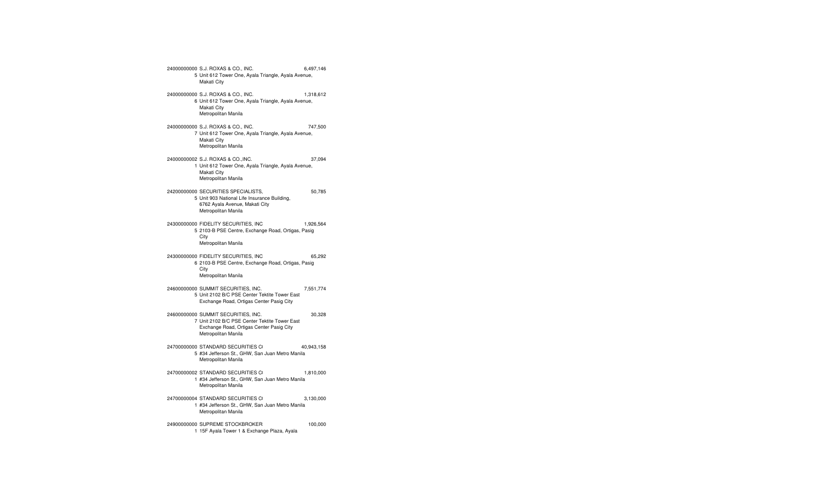24000000000 S.J. ROXAS & CO., INC. 6,497,146 5 Unit 612 Tower One, Ayala Triangle, Ayala Avenue, Makati City 24000000000 S.J. ROXAS & CO., INC. 1,318,612 6 Unit 612 Tower One, Ayala Triangle, Ayala Avenue, Makati City Metropolitan Manila 24000000000 S.J. ROXAS & CO., INC. 747,500 7 Unit 612 Tower One, Ayala Triangle, Ayala Avenue, Makati City Metropolitan Manila 24000000002 S.J. ROXAS & CO.,INC. 37,094 1 Unit 612 Tower One, Ayala Triangle, Ayala Avenue, Makati City Metropolitan Manila 24200000000 SECURITIES SPECIALISTS, INC. 50,785 5 Unit 903 National Life Insurance Building, 6762 Ayala Avenue, Makati City Metropolitan Manila 24300000000 FIDELITY SECURITIES, INC. 1,926,564 5 2103-B PSE Centre, Exchange Road, Ortigas, Pasig **City** Metropolitan Manila 24300000000 FIDELITY SECURITIES, INC. 65,292 6 2103-B PSE Centre, Exchange Road, Ortigas, Pasig **City** Metropolitan Manila 24600000000 SUMMIT SECURITIES, INC. 7,551,774 5 Unit 2102 B/C PSE Center Tektite Tower East Exchange Road, Ortigas Center Pasig City 24600000000 SUMMIT SECURITIES, INC. 30,328 7 Unit 2102 B/C PSE Center Tektite Tower East Exchange Road, Ortigas Center Pasig City Metropolitan Manila 247000000000 STANDARD SECURITIES CI 40,943,158 5 #34 Jefferson St., GHW, San Juan Metro Manila Metropolitan Manila 24700000002 STANDARD SECURITIES CO 1,810,000 1 #34 Jefferson St., GHW, San Juan Metro Manila Metropolitan Manila 24700000004 STANDARD SECURITIES CI 3,130,000 1 #34 Jefferson St., GHW, San Juan Metro Manila Metropolitan Manila 24900000000 SUPREME STOCKBROKER 100,000

1 15F Ayala Tower 1 & Exchange Plaza, Ayala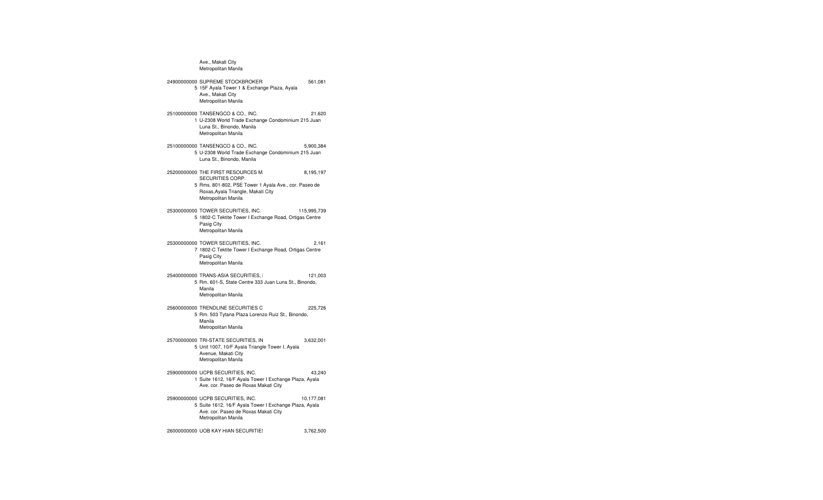Ave., Makati City Metropolitan Manila 24900000000 SUPREME STOCKBROKERS, INC 561,081 5 15F Ayala Tower 1 & Exchange Plaza, Ayala Ave., Makati City Metropolitan Manila 25100000000 TANSENGCO & CO., INC. 21,620 1 U-2308 World Trade Exchange Condominium 215 Juan Luna St., Binondo, Manila Metropolitan Manila 25100000000 TANSENGCO & CO., INC. 5,900,384 5 U-2308 World Trade Exchange Condominium 215 Juan Luna St., Binondo, Manila 25200000000 THE FIRST RESOURCES M. 8,195,197 SECURITIES CORP. 5 Rms. 801-802, PSE Tower 1 Ayala Ave., cor. Paseo de Roxas,Ayala Triangle, Makati City Metropolitan Manila 25300000000 TOWER SECURITIES, INC. 115,995,739 5 1802-C Tektite Tower I Exchange Road, Ortigas Centre Pasig City Metropolitan Manila 25300000000 TOWER SECURITIES, INC. 2,161 7 1802-C Tektite Tower I Exchange Road, Ortigas Centre Pasig City Metropolitan Manila 25400000000 TRANS-ASIA SECURITIES, INC. 121,003 5 Rm. 601-S, State Centre 333 Juan Luna St., Binondo, Manila Metropolitan Manila 256000000000 TRENDLINE SECURITIES C 225,726 5 Rm. 503 Tytana Plaza Lorenzo Ruiz St., Binondo, Manila Metropolitan Manila 25700000000 TRI-STATE SECURITIES, INC. 3,632,001 5 Unit 1007, 10/F Ayala Triangle Tower I, Ayala Avenue, Makati City Metropolitan Manila 25900000000 UCPB SECURITIES, INC. 43,240 1 Suite 1612, 16/F Ayala Tower I Exchange Plaza, Ayala Ave. cor. Paseo de Roxas Makati City 25900000000 UCPB SECURITIES, INC. 10,177,081 5 Suite 1612, 16/F Ayala Tower I Exchange Plaza, Ayala Ave. cor. Paseo de Roxas Makati City Metropolitan Manila 26000000000 UOB KAY HIAN SECURITIE!  $3,762,500$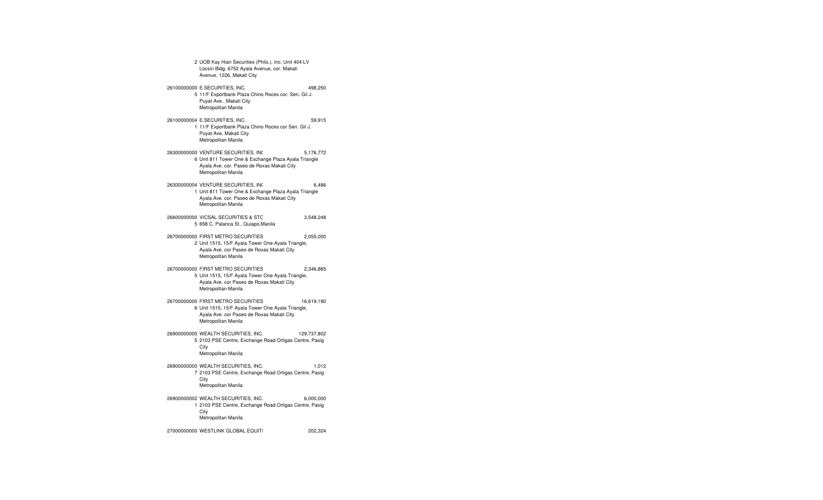2 UOB Kay Hian Securities (Phils.), Inc. Unit 404 LV Locsin Bldg. 6752 Ayala Avenue, cor. Makati Avenue, 1226, Makati City 26100000000 E.SECURITIES, INC. 498,250 5 11/F Exportbank Plaza Chino Roces cor. Sen. Gil J. Puyat Ave., Makati City Metropolitan Manila 26100000004 E.SECURITIES, INC. 59,915 1 11/F Exportbank Plaza Chino Roces cor Sen. Gil J. Puyat Ave, Makati City Metropolitan Manila 26300000000 VENTURE SECURITIES, INC. 5,176,772 6 Unit 811 Tower One & Exchange Plaza Ayala Triangle Ayala Ave. cor. Paseo de Roxas Makati City Metropolitan Manila 26300000004 VENTURE SECURITIES, INC. 6,486 1 Unit 811 Tower One & Exchange Plaza Ayala Triangle Ayala Ave. cor. Paseo de Roxas Makati City Metropolitan Manila 26600000000 VICSAL SECURITIES & STOCK BROKERAGE, INC.Omnibus Without Client Tax Identification Number Domestic 3,548,248 5 658 C. Palanca St., Quiapo,Manila 26700000000 FIRST METRO SECURITIES BROKERAGE CORP. 2,055,000 2 Unit 1515, 15/F Ayala Tower One Ayala Triangle, Ayala Ave. cor Paseo de Roxas Makati City Metropolitan Manila 26700000000 FIRST METRO SECURITIES BROKERAGE CORP. 2,346,865 5 Unit 1515, 15/F Ayala Tower One Ayala Triangle, Ayala Ave. cor Paseo de Roxas Makati City Metropolitan Manila 26700000000 FIRST METRO SECURITIES BROKERAGE CORP. 16,619,190 6 Unit 1515, 15/F Ayala Tower One Ayala Triangle, Ayala Ave. cor Paseo de Roxas Makati City Metropolitan Manila 26900000000 WEALTH SECURITIES, INC. 129,737,802 5 2103 PSE Centre, Exchange Road Ortigas Centre, Pasig City Metropolitan Manila 26900000000 WEALTH SECURITIES, INC. 1,012 7 2103 PSE Centre, Exchange Road Ortigas Centre, Pasig City Metropolitan Manila 26900000002 WEALTH SECURITIES, INC. 6,000,000 1 2103 PSE Centre, Exchange Road Ortigas Centre, Pasig **City** Metropolitan Manila

27000000000 WESTLINK GLOBAL EQUITI $_{\rm 200}$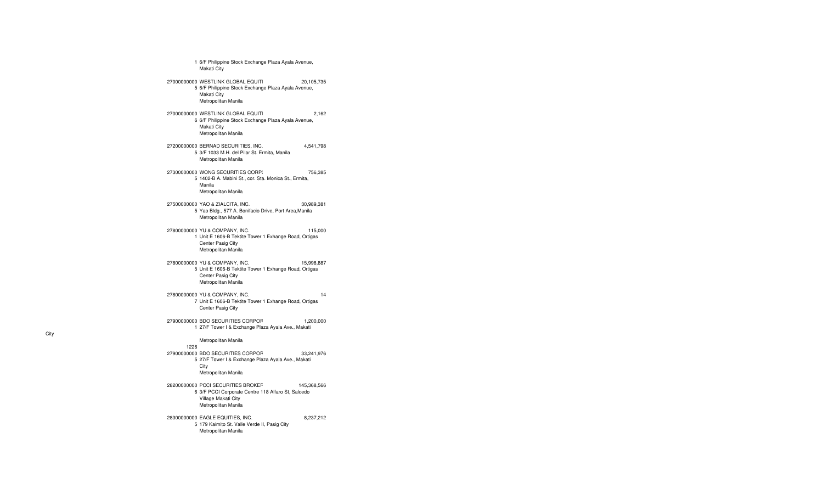1 6/F Philippine Stock Exchange Plaza Ayala Avenue, Makati City 27000000000 WESTLINK GLOBAL EQUITI $\hskip1.6cm 27000000000$ 5 6/F Philippine Stock Exchange Plaza Ayala Avenue, Makati City Metropolitan Manila 27000000000 WESTLINK GLOBAL EQUITI $_{270000000000}$  2,162 6 6/F Philippine Stock Exchange Plaza Ayala Avenue, Makati City Metropolitan Manila 27200000000 BERNAD SECURITIES, INC. 4,541,798 5 3/F 1033 M.H. del Pilar St. Ermita, Manila Metropolitan Manila 27300000000 WONG SECURITIES CORP( 756,385 5 1402-B A. Mabini St., cor. Sta. Monica St., Ermita, Manila Metropolitan Manila 27500000000 YAO & ZIALCITA, INC. 30,989,381 5 Yao Bldg., 577 A. Bonifacio Drive, Port Area,Manila Metropolitan Manila 27800000000 YU & COMPANY, INC. 115,000 1 Unit E 1606-B Tektite Tower 1 Exhange Road, Ortigas Center Pasig City Metropolitan Manila 27800000000 YU & COMPANY, INC. 15,998,887 5 Unit E 1606-B Tektite Tower 1 Exhange Road, Ortigas Center Pasig City Metropolitan Manila 27800000000 YU & COMPANY, INC. 14 7 Unit E 1606-B Tektite Tower 1 Exhange Road, Ortigas Center Pasig City 27900000000 BDO SECURITIES CORPOF 1,200,000 1 27/F Tower I & Exchange Plaza Ayala Ave., Makati Metropolitan Manila 1226279000000000 BDO SECURITIES CORPOF 33,241,976 5 27/F Tower I & Exchange Plaza Ayala Ave., Makati City Metropolitan Manila 28200000000 PCCI SECURITIES BROKERS CORP. 145,368,566 6 3/F PCCI Corporate Centre 118 Alfaro St, Salcedo Village Makati City Metropolitan Manila 28300000000 EAGLE EQUITIES, INC. 8,237,212 5 179 Kaimito St. Valle Verde II, Pasig City Metropolitan Manila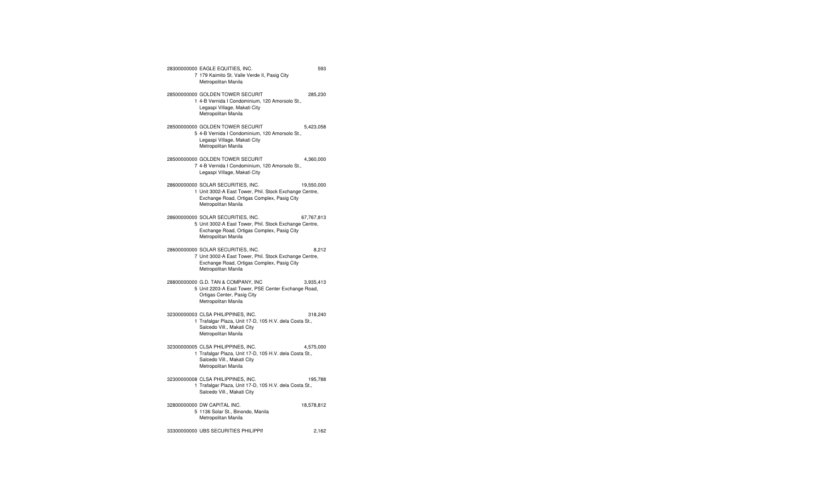28300000000 EAGLE EQUITIES, INC. 593 7 179 Kaimito St. Valle Verde II, Pasig City Metropolitan Manila 28500000000 GOLDEN TOWER SECURITIES & HOLDINGS, INC.Omnibus Without Client 285,230 1 4-B Vernida I Condominium, 120 Amorsolo St., Legaspi Village, Makati City Metropolitan Manila 28500000000 GOLDEN TOWER SECURITIES & HOLDINGS, INC.Omnibus Without Client 5,423,058 5 4-B Vernida I Condominium, 120 Amorsolo St., Legaspi Village, Makati City Metropolitan Manila 28500000000 GOLDEN TOWER SECURIT 4,360,000 7 4-B Vernida I Condominium, 120 Amorsolo St., Legaspi Village, Makati City 28600000000 SOLAR SECURITIES, INC. 19,550,000 1 Unit 3002-A East Tower, Phil. Stock Exchange Centre, Exchange Road, Ortigas Complex, Pasig City Metropolitan Manila 28600000000 SOLAR SECURITIES, INC. 67,767,813 5 Unit 3002-A East Tower, Phil. Stock Exchange Centre, Exchange Road, Ortigas Complex, Pasig City Metropolitan Manila 28600000000 SOLAR SECURITIES, INC. 8,212 7 Unit 3002-A East Tower, Phil. Stock Exchange Centre, Exchange Road, Ortigas Complex, Pasig City Metropolitan Manila 28800000000 G.D. TAN & COMPANY, INC. 3,935,413 5 Unit 2203-A East Tower, PSE Center Exchange Road, Ortigas Center, Pasig City Metropolitan Manila 32300000003 CLSA PHILIPPINES, INC. 318,240 1 Trafalgar Plaza, Unit 17-D, 105 H.V. dela Costa St., Salcedo Vill., Makati City Metropolitan Manila 32300000005 CLSA PHILIPPINES, INC. 4,575,000 1 Trafalgar Plaza, Unit 17-D, 105 H.V. dela Costa St., Salcedo Vill., Makati City Metropolitan Manila 32300000008 CLSA PHILIPPINES, INC. 195,788 1 Trafalgar Plaza, Unit 17-D, 105 H.V. dela Costa St., Salcedo Vill., Makati City 32800000000 DW CAPITAL INC. 18,578,812 5 1136 Solar St., Binondo, Manila Metropolitan Manila 33300000000 UBS SECURITIES PHILIPPINES, INC. 2,162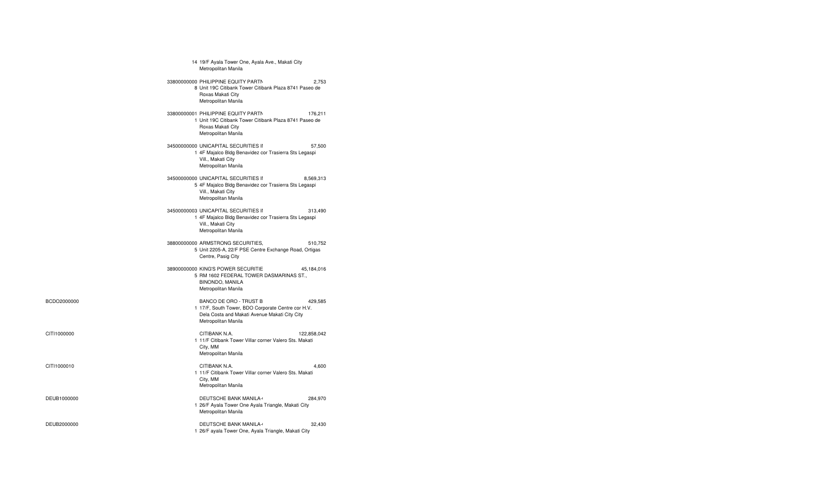|     | 14 19/F Ayala Tower One, Ayala Ave., Makati City<br>Metropolitan Manila                                                                              |             |
|-----|------------------------------------------------------------------------------------------------------------------------------------------------------|-------------|
|     | 33800000000 PHILIPPINE EQUITY PARTN<br>8 Unit 19C Citibank Tower Citibank Plaza 8741 Paseo de<br>Roxas Makati City<br>Metropolitan Manila            | 2.753       |
|     | 33800000001 PHILIPPINE EQUITY PARTN<br>1 Unit 19C Citibank Tower Citibank Plaza 8741 Paseo de<br>Roxas Makati City<br>Metropolitan Manila            | 176,211     |
|     | 34500000000 UNICAPITAL SECURITIES II<br>1 4F Majalco Bldg Benavidez cor Trasierra Sts Legaspi<br>Vill., Makati City<br>Metropolitan Manila           | 57,500      |
|     | 34500000000 UNICAPITAL SECURITIES II<br>5 4F Majalco Bldg Benavidez cor Trasierra Sts Legaspi<br>Vill., Makati City<br>Metropolitan Manila           | 8,569,313   |
|     | 34500000003 UNICAPITAL SECURITIES II<br>1 4F Majalco Bldg Benavidez cor Trasierra Sts Legaspi<br>Vill., Makati City<br>Metropolitan Manila           | 313,490     |
|     | 38800000000 ARMSTRONG SECURITIES,<br>5 Unit 2205-A, 22/F PSE Centre Exchange Road, Ortigas<br>Centre, Pasig City                                     | 510,752     |
|     | 38900000000 KING'S POWER SECURITIE<br>5 RM 1602 FEDERAL TOWER DASMARINAS ST.,<br>BINONDO, MANILA<br>Metropolitan Manila                              | 45,184,016  |
| 000 | BANCO DE ORO - TRUST B<br>1 17/F, South Tower, BDO Corporate Centre cor H.V.<br>Dela Costa and Makati Avenue Makati City City<br>Metropolitan Manila | 429,585     |
| 0   | CITIBANK N.A.<br>1 11/F Citibank Tower Villar corner Valero Sts. Makati<br>City, MM<br>Metropolitan Manila                                           | 122,858,042 |
| 0   | CITIBANK N.A.<br>1 11/F Citibank Tower Villar corner Valero Sts. Makati<br>City, MM<br>Metropolitan Manila                                           | 4,600       |
| 000 | <b>DEUTSCHE BANK MANILA-</b><br>1 26/F Ayala Tower One Ayala Triangle, Makati City<br>Metropolitan Manila                                            | 284,970     |
| 000 | <b>DEUTSCHE BANK MANILA-</b><br>1 26/F ayala Tower One, Ayala Triangle, Makati City                                                                  | 32,430      |

BCDO2000000

CITI1000000

CITI1000010

DEUB1000000

DEUB2000000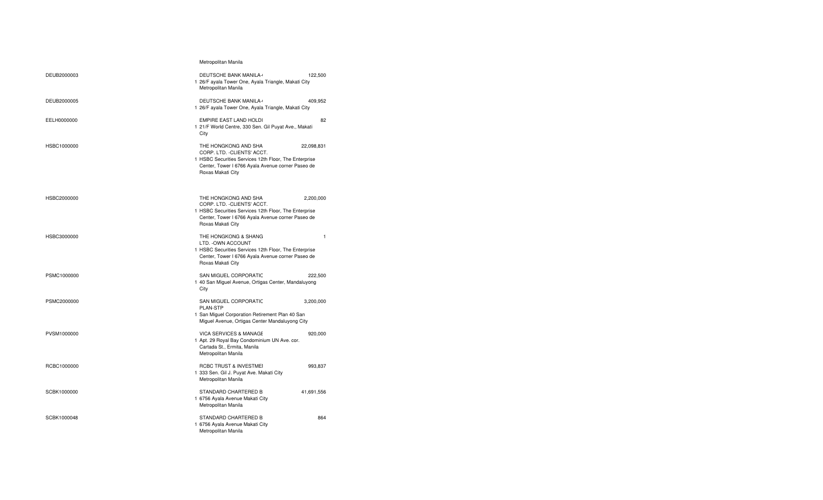|             | Metropolitan Manila                                                                                                                                                                                  |
|-------------|------------------------------------------------------------------------------------------------------------------------------------------------------------------------------------------------------|
| DEUB2000003 | <b>DEUTSCHE BANK MANILA-</b><br>122,500<br>1 26/F ayala Tower One, Ayala Triangle, Makati City<br>Metropolitan Manila                                                                                |
| DEUB2000005 | <b>DEUTSCHE BANK MANILA-</b><br>409,952<br>1 26/F ayala Tower One, Ayala Triangle, Makati City                                                                                                       |
| EELH0000000 | <b>EMPIRE EAST LAND HOLDI</b><br>82<br>1 21/F World Centre, 330 Sen. Gil Puyat Ave., Makati<br>City                                                                                                  |
| HSBC1000000 | THE HONGKONG AND SHA<br>22,098,831<br>CORP. LTD. - CLIENTS' ACCT.<br>1 HSBC Securities Services 12th Floor, The Enterprise<br>Center, Tower I 6766 Ayala Avenue corner Paseo de<br>Roxas Makati City |
| HSBC2000000 | THE HONGKONG AND SHA<br>2,200,000<br>CORP. LTD. - CLIENTS' ACCT.<br>1 HSBC Securities Services 12th Floor, The Enterprise<br>Center, Tower I 6766 Ayala Avenue corner Paseo de<br>Roxas Makati City  |
| HSBC3000000 | THE HONGKONG & SHANG<br>$\mathbf{1}$<br>LTD. - OWN ACCOUNT<br>1 HSBC Securities Services 12th Floor, The Enterprise<br>Center, Tower I 6766 Ayala Avenue corner Paseo de<br>Roxas Makati City        |
| PSMC1000000 | SAN MIGUEL CORPORATIC<br>222,500<br>1 40 San Miguel Avenue, Ortigas Center, Mandaluyong<br>City                                                                                                      |
| PSMC2000000 | SAN MIGUEL CORPORATIC<br>3,200,000<br><b>PLAN-STP</b><br>1 San Miguel Corporation Retirement Plan 40 San<br>Miguel Avenue, Ortigas Center Mandaluyong City                                           |
| PVSM1000000 | <b>VICA SERVICES &amp; MANAGE</b><br>920,000<br>1 Apt. 29 Royal Bay Condominium UN Ave. cor.<br>Cartada St., Ermita, Manila<br>Metropolitan Manila                                                   |
| RCBC1000000 | RCBC TRUST & INVESTMEI<br>993,837<br>1 333 Sen. Gil J. Puyat Ave. Makati City<br>Metropolitan Manila                                                                                                 |
| SCBK1000000 | STANDARD CHARTERED B<br>41,691,556<br>1 6756 Ayala Avenue Makati City<br>Metropolitan Manila                                                                                                         |
| SCBK1000048 | STANDARD CHARTERED B<br>864<br>1 6756 Ayala Avenue Makati City<br>Metropolitan Manila                                                                                                                |